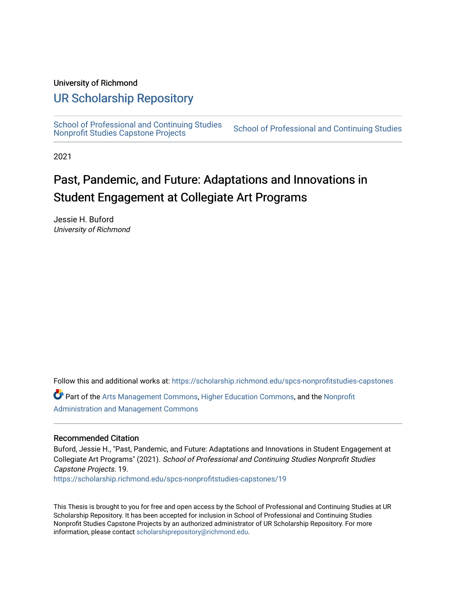### University of Richmond

# [UR Scholarship Repository](https://scholarship.richmond.edu/)

[School of Professional and Continuing Studies](https://scholarship.richmond.edu/spcs-nonprofitstudies-capstones)<br>Nonprofit Studies Capstone Projects

School of Professional and Continuing Studies

2021

# Past, Pandemic, and Future: Adaptations and Innovations in Student Engagement at Collegiate Art Programs

Jessie H. Buford University of Richmond

Follow this and additional works at: [https://scholarship.richmond.edu/spcs-nonprofitstudies-capstones](https://scholarship.richmond.edu/spcs-nonprofitstudies-capstones?utm_source=scholarship.richmond.edu%2Fspcs-nonprofitstudies-capstones%2F19&utm_medium=PDF&utm_campaign=PDFCoverPages)

Part of the [Arts Management Commons,](http://network.bepress.com/hgg/discipline/1146?utm_source=scholarship.richmond.edu%2Fspcs-nonprofitstudies-capstones%2F19&utm_medium=PDF&utm_campaign=PDFCoverPages) [Higher Education Commons,](http://network.bepress.com/hgg/discipline/1245?utm_source=scholarship.richmond.edu%2Fspcs-nonprofitstudies-capstones%2F19&utm_medium=PDF&utm_campaign=PDFCoverPages) and the [Nonprofit](http://network.bepress.com/hgg/discipline/1228?utm_source=scholarship.richmond.edu%2Fspcs-nonprofitstudies-capstones%2F19&utm_medium=PDF&utm_campaign=PDFCoverPages)  [Administration and Management Commons](http://network.bepress.com/hgg/discipline/1228?utm_source=scholarship.richmond.edu%2Fspcs-nonprofitstudies-capstones%2F19&utm_medium=PDF&utm_campaign=PDFCoverPages)

### Recommended Citation

Buford, Jessie H., "Past, Pandemic, and Future: Adaptations and Innovations in Student Engagement at Collegiate Art Programs" (2021). School of Professional and Continuing Studies Nonprofit Studies Capstone Projects. 19. [https://scholarship.richmond.edu/spcs-nonprofitstudies-capstones/19](https://scholarship.richmond.edu/spcs-nonprofitstudies-capstones/19?utm_source=scholarship.richmond.edu%2Fspcs-nonprofitstudies-capstones%2F19&utm_medium=PDF&utm_campaign=PDFCoverPages) 

This Thesis is brought to you for free and open access by the School of Professional and Continuing Studies at UR Scholarship Repository. It has been accepted for inclusion in School of Professional and Continuing Studies Nonprofit Studies Capstone Projects by an authorized administrator of UR Scholarship Repository. For more information, please contact [scholarshiprepository@richmond.edu](mailto:scholarshiprepository@richmond.edu).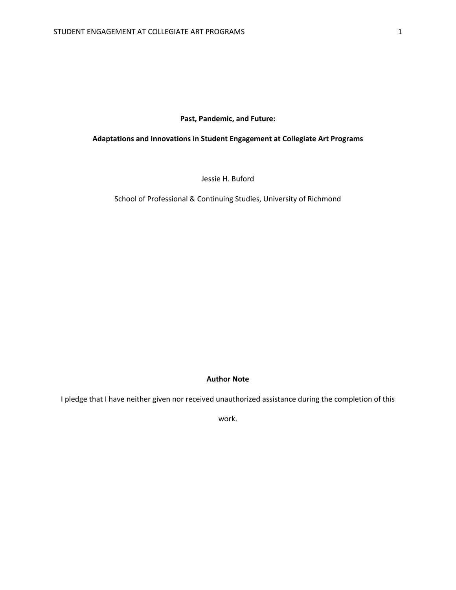### **Past, Pandemic, and Future:**

### **Adaptations and Innovations in Student Engagement at Collegiate Art Programs**

Jessie H. Buford

School of Professional & Continuing Studies, University of Richmond

### **Author Note**

I pledge that I have neither given nor received unauthorized assistance during the completion of this

work.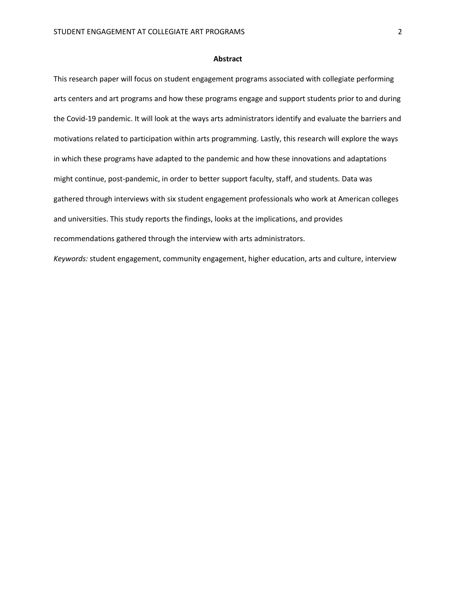### **Abstract**

This research paper will focus on student engagement programs associated with collegiate performing arts centers and art programs and how these programs engage and support students prior to and during the Covid-19 pandemic. It will look at the ways arts administrators identify and evaluate the barriers and motivations related to participation within arts programming. Lastly, this research will explore the ways in which these programs have adapted to the pandemic and how these innovations and adaptations might continue, post-pandemic, in order to better support faculty, staff, and students. Data was gathered through interviews with six student engagement professionals who work at American colleges and universities. This study reports the findings, looks at the implications, and provides recommendations gathered through the interview with arts administrators.

*Keywords:* student engagement, community engagement, higher education, arts and culture, interview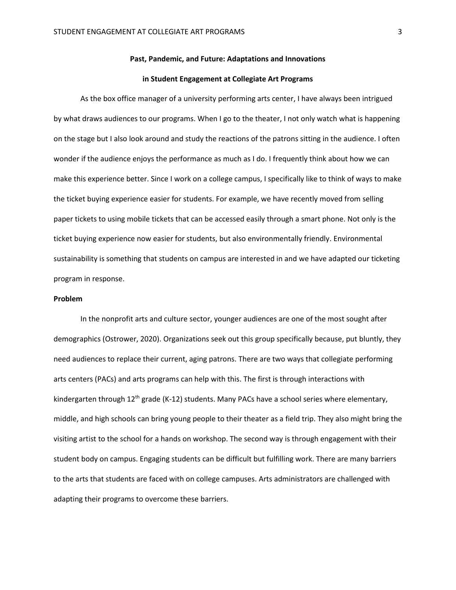### **Past, Pandemic, and Future: Adaptations and Innovations**

### **in Student Engagement at Collegiate Art Programs**

As the box office manager of a university performing arts center, I have always been intrigued by what draws audiences to our programs. When I go to the theater, I not only watch what is happening on the stage but I also look around and study the reactions of the patrons sitting in the audience. I often wonder if the audience enjoys the performance as much as I do. I frequently think about how we can make this experience better. Since I work on a college campus, I specifically like to think of ways to make the ticket buying experience easier for students. For example, we have recently moved from selling paper tickets to using mobile tickets that can be accessed easily through a smart phone. Not only is the ticket buying experience now easier for students, but also environmentally friendly. Environmental sustainability is something that students on campus are interested in and we have adapted our ticketing program in response.

### **Problem**

In the nonprofit arts and culture sector, younger audiences are one of the most sought after demographics (Ostrower, 2020). Organizations seek out this group specifically because, put bluntly, they need audiences to replace their current, aging patrons. There are two ways that collegiate performing arts centers (PACs) and arts programs can help with this. The first is through interactions with kindergarten through  $12<sup>th</sup>$  grade (K-12) students. Many PACs have a school series where elementary, middle, and high schools can bring young people to their theater as a field trip. They also might bring the visiting artist to the school for a hands on workshop. The second way is through engagement with their student body on campus. Engaging students can be difficult but fulfilling work. There are many barriers to the arts that students are faced with on college campuses. Arts administrators are challenged with adapting their programs to overcome these barriers.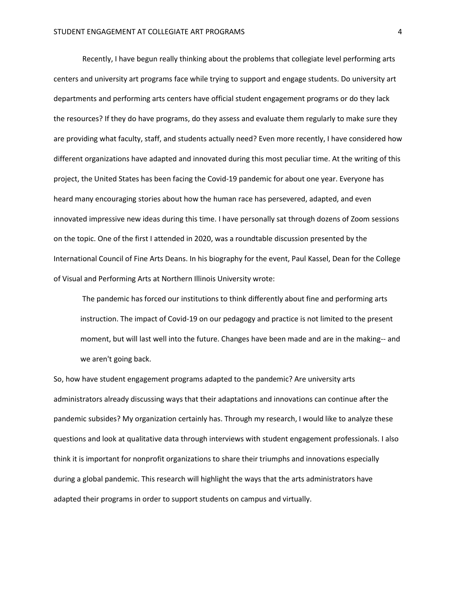Recently, I have begun really thinking about the problems that collegiate level performing arts centers and university art programs face while trying to support and engage students. Do university art departments and performing arts centers have official student engagement programs or do they lack the resources? If they do have programs, do they assess and evaluate them regularly to make sure they are providing what faculty, staff, and students actually need? Even more recently, I have considered how different organizations have adapted and innovated during this most peculiar time. At the writing of this project, the United States has been facing the Covid-19 pandemic for about one year. Everyone has heard many encouraging stories about how the human race has persevered, adapted, and even innovated impressive new ideas during this time. I have personally sat through dozens of Zoom sessions on the topic. One of the first I attended in 2020, was a roundtable discussion presented by the International Council of Fine Arts Deans. In his biography for the event, Paul Kassel, Dean for the College of Visual and Performing Arts at Northern Illinois University wrote:

The pandemic has forced our institutions to think differently about fine and performing arts instruction. The impact of Covid-19 on our pedagogy and practice is not limited to the present moment, but will last well into the future. Changes have been made and are in the making-- and we aren't going back.

So, how have student engagement programs adapted to the pandemic? Are university arts administrators already discussing ways that their adaptations and innovations can continue after the pandemic subsides? My organization certainly has. Through my research, I would like to analyze these questions and look at qualitative data through interviews with student engagement professionals. I also think it is important for nonprofit organizations to share their triumphs and innovations especially during a global pandemic. This research will highlight the ways that the arts administrators have adapted their programs in order to support students on campus and virtually.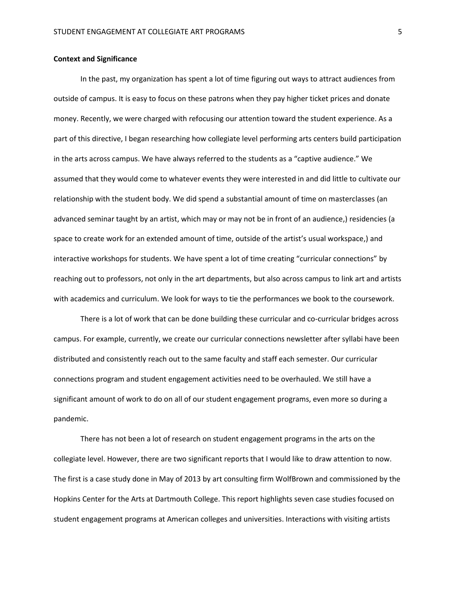### **Context and Significance**

In the past, my organization has spent a lot of time figuring out ways to attract audiences from outside of campus. It is easy to focus on these patrons when they pay higher ticket prices and donate money. Recently, we were charged with refocusing our attention toward the student experience. As a part of this directive, I began researching how collegiate level performing arts centers build participation in the arts across campus. We have always referred to the students as a "captive audience." We assumed that they would come to whatever events they were interested in and did little to cultivate our relationship with the student body. We did spend a substantial amount of time on masterclasses (an advanced seminar taught by an artist, which may or may not be in front of an audience,) residencies (a space to create work for an extended amount of time, outside of the artist's usual workspace,) and interactive workshops for students. We have spent a lot of time creating "curricular connections" by reaching out to professors, not only in the art departments, but also across campus to link art and artists with academics and curriculum. We look for ways to tie the performances we book to the coursework.

There is a lot of work that can be done building these curricular and co-curricular bridges across campus. For example, currently, we create our curricular connections newsletter after syllabi have been distributed and consistently reach out to the same faculty and staff each semester. Our curricular connections program and student engagement activities need to be overhauled. We still have a significant amount of work to do on all of our student engagement programs, even more so during a pandemic.

There has not been a lot of research on student engagement programs in the arts on the collegiate level. However, there are two significant reports that I would like to draw attention to now. The first is a case study done in May of 2013 by art consulting firm WolfBrown and commissioned by the Hopkins Center for the Arts at Dartmouth College. This report highlights seven case studies focused on student engagement programs at American colleges and universities. Interactions with visiting artists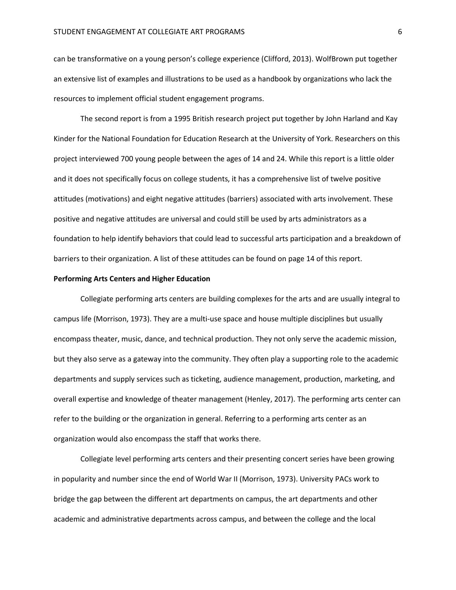can be transformative on a young person's college experience (Clifford, 2013). WolfBrown put together an extensive list of examples and illustrations to be used as a handbook by organizations who lack the resources to implement official student engagement programs.

The second report is from a 1995 British research project put together by John Harland and Kay Kinder for the National Foundation for Education Research at the University of York. Researchers on this project interviewed 700 young people between the ages of 14 and 24. While this report is a little older and it does not specifically focus on college students, it has a comprehensive list of twelve positive attitudes (motivations) and eight negative attitudes (barriers) associated with arts involvement. These positive and negative attitudes are universal and could still be used by arts administrators as a foundation to help identify behaviors that could lead to successful arts participation and a breakdown of barriers to their organization. A list of these attitudes can be found on page 14 of this report.

### **Performing Arts Centers and Higher Education**

Collegiate performing arts centers are building complexes for the arts and are usually integral to campus life (Morrison, 1973). They are a multi-use space and house multiple disciplines but usually encompass theater, music, dance, and technical production. They not only serve the academic mission, but they also serve as a gateway into the community. They often play a supporting role to the academic departments and supply services such as ticketing, audience management, production, marketing, and overall expertise and knowledge of theater management (Henley, 2017). The performing arts center can refer to the building or the organization in general. Referring to a performing arts center as an organization would also encompass the staff that works there.

Collegiate level performing arts centers and their presenting concert series have been growing in popularity and number since the end of World War II (Morrison, 1973). University PACs work to bridge the gap between the different art departments on campus, the art departments and other academic and administrative departments across campus, and between the college and the local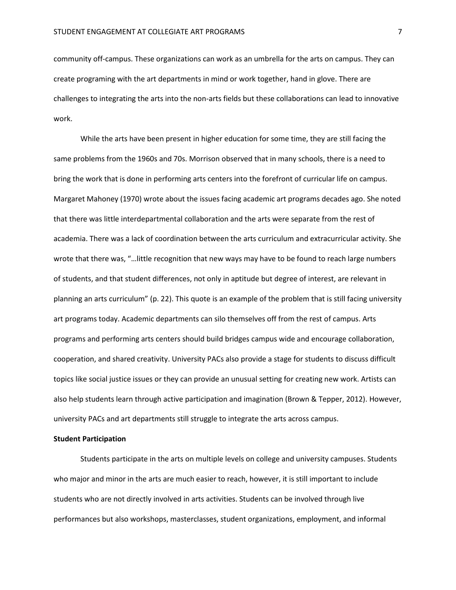community off-campus. These organizations can work as an umbrella for the arts on campus. They can create programing with the art departments in mind or work together, hand in glove. There are challenges to integrating the arts into the non-arts fields but these collaborations can lead to innovative work.

While the arts have been present in higher education for some time, they are still facing the same problems from the 1960s and 70s. Morrison observed that in many schools, there is a need to bring the work that is done in performing arts centers into the forefront of curricular life on campus. Margaret Mahoney (1970) wrote about the issues facing academic art programs decades ago. She noted that there was little interdepartmental collaboration and the arts were separate from the rest of academia. There was a lack of coordination between the arts curriculum and extracurricular activity. She wrote that there was, "…little recognition that new ways may have to be found to reach large numbers of students, and that student differences, not only in aptitude but degree of interest, are relevant in planning an arts curriculum" (p. 22). This quote is an example of the problem that is still facing university art programs today. Academic departments can silo themselves off from the rest of campus. Arts programs and performing arts centers should build bridges campus wide and encourage collaboration, cooperation, and shared creativity. University PACs also provide a stage for students to discuss difficult topics like social justice issues or they can provide an unusual setting for creating new work. Artists can also help students learn through active participation and imagination (Brown & Tepper, 2012). However, university PACs and art departments still struggle to integrate the arts across campus.

### **Student Participation**

Students participate in the arts on multiple levels on college and university campuses. Students who major and minor in the arts are much easier to reach, however, it is still important to include students who are not directly involved in arts activities. Students can be involved through live performances but also workshops, masterclasses, student organizations, employment, and informal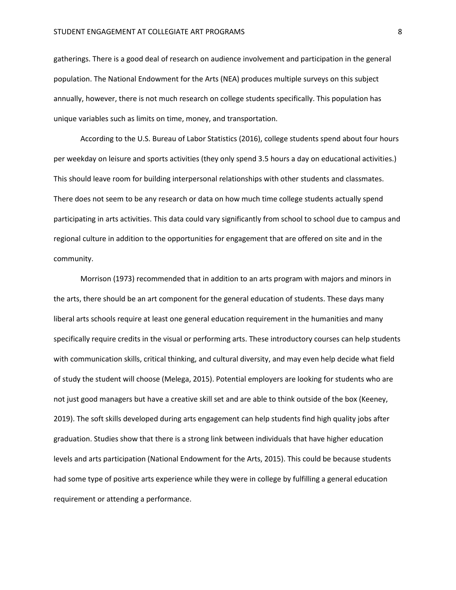gatherings. There is a good deal of research on audience involvement and participation in the general population. The National Endowment for the Arts (NEA) produces multiple surveys on this subject annually, however, there is not much research on college students specifically. This population has unique variables such as limits on time, money, and transportation.

According to the U.S. Bureau of Labor Statistics (2016), college students spend about four hours per weekday on leisure and sports activities (they only spend 3.5 hours a day on educational activities.) This should leave room for building interpersonal relationships with other students and classmates. There does not seem to be any research or data on how much time college students actually spend participating in arts activities. This data could vary significantly from school to school due to campus and regional culture in addition to the opportunities for engagement that are offered on site and in the community.

Morrison (1973) recommended that in addition to an arts program with majors and minors in the arts, there should be an art component for the general education of students. These days many liberal arts schools require at least one general education requirement in the humanities and many specifically require credits in the visual or performing arts. These introductory courses can help students with communication skills, critical thinking, and cultural diversity, and may even help decide what field of study the student will choose (Melega, 2015). Potential employers are looking for students who are not just good managers but have a creative skill set and are able to think outside of the box (Keeney, 2019). The soft skills developed during arts engagement can help students find high quality jobs after graduation. Studies show that there is a strong link between individuals that have higher education levels and arts participation (National Endowment for the Arts, 2015). This could be because students had some type of positive arts experience while they were in college by fulfilling a general education requirement or attending a performance.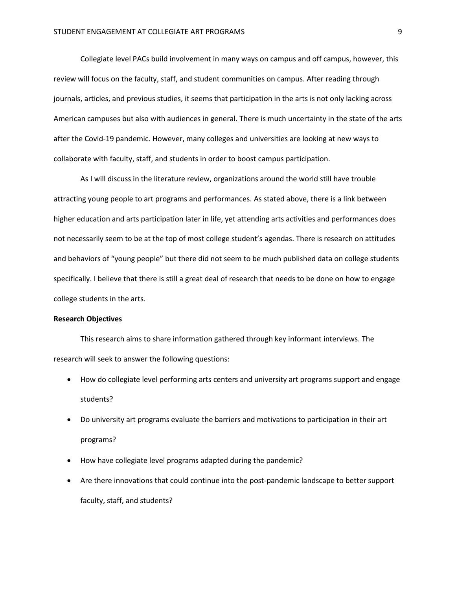Collegiate level PACs build involvement in many ways on campus and off campus, however, this review will focus on the faculty, staff, and student communities on campus. After reading through journals, articles, and previous studies, it seems that participation in the arts is not only lacking across American campuses but also with audiences in general. There is much uncertainty in the state of the arts after the Covid-19 pandemic. However, many colleges and universities are looking at new ways to collaborate with faculty, staff, and students in order to boost campus participation.

As I will discuss in the literature review, organizations around the world still have trouble attracting young people to art programs and performances. As stated above, there is a link between higher education and arts participation later in life, yet attending arts activities and performances does not necessarily seem to be at the top of most college student's agendas. There is research on attitudes and behaviors of "young people" but there did not seem to be much published data on college students specifically. I believe that there is still a great deal of research that needs to be done on how to engage college students in the arts.

### **Research Objectives**

This research aims to share information gathered through key informant interviews. The research will seek to answer the following questions:

- How do collegiate level performing arts centers and university art programs support and engage students?
- Do university art programs evaluate the barriers and motivations to participation in their art programs?
- How have collegiate level programs adapted during the pandemic?
- Are there innovations that could continue into the post-pandemic landscape to better support faculty, staff, and students?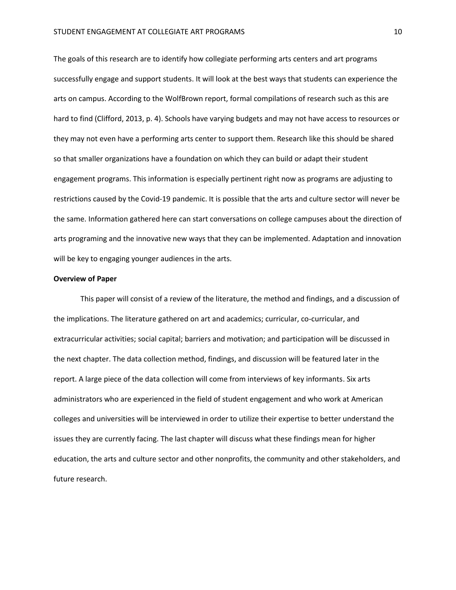The goals of this research are to identify how collegiate performing arts centers and art programs successfully engage and support students. It will look at the best ways that students can experience the arts on campus. According to the WolfBrown report, formal compilations of research such as this are hard to find (Clifford, 2013, p. 4). Schools have varying budgets and may not have access to resources or they may not even have a performing arts center to support them. Research like this should be shared so that smaller organizations have a foundation on which they can build or adapt their student engagement programs. This information is especially pertinent right now as programs are adjusting to restrictions caused by the Covid-19 pandemic. It is possible that the arts and culture sector will never be the same. Information gathered here can start conversations on college campuses about the direction of arts programing and the innovative new ways that they can be implemented. Adaptation and innovation will be key to engaging younger audiences in the arts.

### **Overview of Paper**

This paper will consist of a review of the literature, the method and findings, and a discussion of the implications. The literature gathered on art and academics; curricular, co-curricular, and extracurricular activities; social capital; barriers and motivation; and participation will be discussed in the next chapter. The data collection method, findings, and discussion will be featured later in the report. A large piece of the data collection will come from interviews of key informants. Six arts administrators who are experienced in the field of student engagement and who work at American colleges and universities will be interviewed in order to utilize their expertise to better understand the issues they are currently facing. The last chapter will discuss what these findings mean for higher education, the arts and culture sector and other nonprofits, the community and other stakeholders, and future research.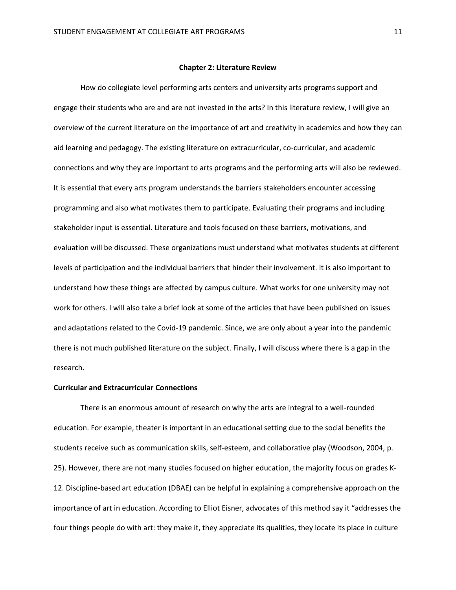#### **Chapter 2: Literature Review**

How do collegiate level performing arts centers and university arts programs support and engage their students who are and are not invested in the arts? In this literature review, I will give an overview of the current literature on the importance of art and creativity in academics and how they can aid learning and pedagogy. The existing literature on extracurricular, co-curricular, and academic connections and why they are important to arts programs and the performing arts will also be reviewed. It is essential that every arts program understands the barriers stakeholders encounter accessing programming and also what motivates them to participate. Evaluating their programs and including stakeholder input is essential. Literature and tools focused on these barriers, motivations, and evaluation will be discussed. These organizations must understand what motivates students at different levels of participation and the individual barriers that hinder their involvement. It is also important to understand how these things are affected by campus culture. What works for one university may not work for others. I will also take a brief look at some of the articles that have been published on issues and adaptations related to the Covid-19 pandemic. Since, we are only about a year into the pandemic there is not much published literature on the subject. Finally, I will discuss where there is a gap in the research.

### **Curricular and Extracurricular Connections**

There is an enormous amount of research on why the arts are integral to a well-rounded education. For example, theater is important in an educational setting due to the social benefits the students receive such as communication skills, self-esteem, and collaborative play (Woodson, 2004, p. 25). However, there are not many studies focused on higher education, the majority focus on grades K-12. Discipline-based art education (DBAE) can be helpful in explaining a comprehensive approach on the importance of art in education. According to Elliot Eisner, advocates of this method say it "addresses the four things people do with art: they make it, they appreciate its qualities, they locate its place in culture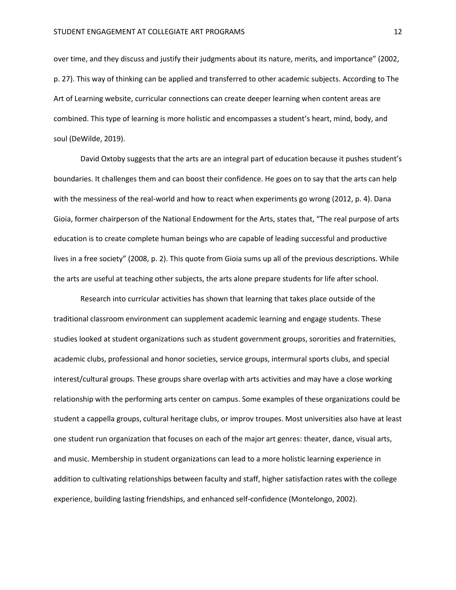over time, and they discuss and justify their judgments about its nature, merits, and importance" (2002, p. 27). This way of thinking can be applied and transferred to other academic subjects. According to The Art of Learning website, curricular connections can create deeper learning when content areas are combined. This type of learning is more holistic and encompasses a student's heart, mind, body, and soul (DeWilde, 2019).

David Oxtoby suggests that the arts are an integral part of education because it pushes student's boundaries. It challenges them and can boost their confidence. He goes on to say that the arts can help with the messiness of the real-world and how to react when experiments go wrong (2012, p. 4). Dana Gioia, former chairperson of the National Endowment for the Arts, states that, "The real purpose of arts education is to create complete human beings who are capable of leading successful and productive lives in a free society" (2008, p. 2). This quote from Gioia sums up all of the previous descriptions. While the arts are useful at teaching other subjects, the arts alone prepare students for life after school.

Research into curricular activities has shown that learning that takes place outside of the traditional classroom environment can supplement academic learning and engage students. These studies looked at student organizations such as student government groups, sororities and fraternities, academic clubs, professional and honor societies, service groups, intermural sports clubs, and special interest/cultural groups. These groups share overlap with arts activities and may have a close working relationship with the performing arts center on campus. Some examples of these organizations could be student a cappella groups, cultural heritage clubs, or improv troupes. Most universities also have at least one student run organization that focuses on each of the major art genres: theater, dance, visual arts, and music. Membership in student organizations can lead to a more holistic learning experience in addition to cultivating relationships between faculty and staff, higher satisfaction rates with the college experience, building lasting friendships, and enhanced self-confidence (Montelongo, 2002).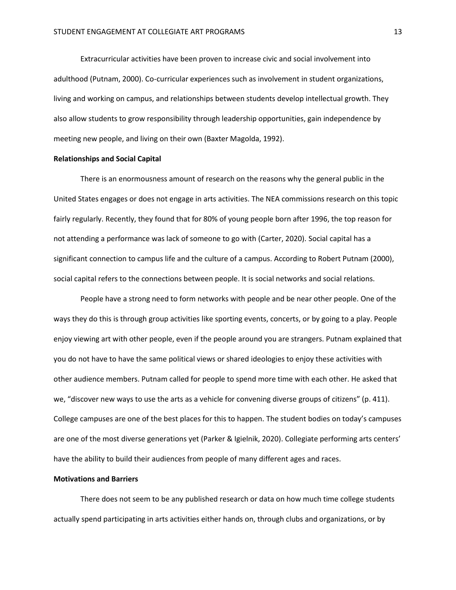Extracurricular activities have been proven to increase civic and social involvement into adulthood (Putnam, 2000). Co-curricular experiences such as involvement in student organizations, living and working on campus, and relationships between students develop intellectual growth. They also allow students to grow responsibility through leadership opportunities, gain independence by meeting new people, and living on their own (Baxter Magolda, 1992).

### **Relationships and Social Capital**

There is an enormousness amount of research on the reasons why the general public in the United States engages or does not engage in arts activities. The NEA commissions research on this topic fairly regularly. Recently, they found that for 80% of young people born after 1996, the top reason for not attending a performance was lack of someone to go with (Carter, 2020). Social capital has a significant connection to campus life and the culture of a campus. According to Robert Putnam (2000), social capital refers to the connections between people. It is social networks and social relations.

People have a strong need to form networks with people and be near other people. One of the ways they do this is through group activities like sporting events, concerts, or by going to a play. People enjoy viewing art with other people, even if the people around you are strangers. Putnam explained that you do not have to have the same political views or shared ideologies to enjoy these activities with other audience members. Putnam called for people to spend more time with each other. He asked that we, "discover new ways to use the arts as a vehicle for convening diverse groups of citizens" (p. 411). College campuses are one of the best places for this to happen. The student bodies on today's campuses are one of the most diverse generations yet (Parker & Igielnik, 2020). Collegiate performing arts centers' have the ability to build their audiences from people of many different ages and races.

### **Motivations and Barriers**

There does not seem to be any published research or data on how much time college students actually spend participating in arts activities either hands on, through clubs and organizations, or by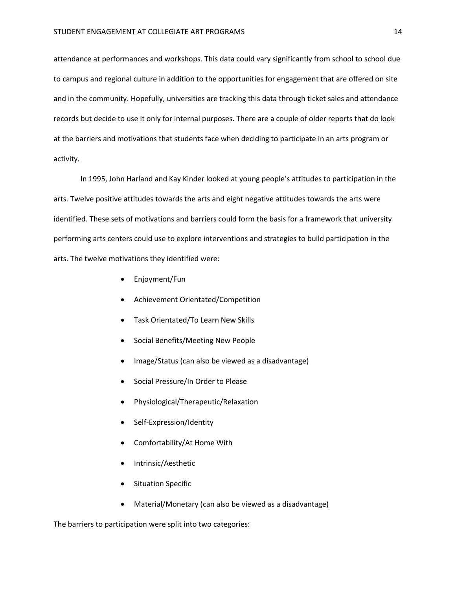attendance at performances and workshops. This data could vary significantly from school to school due to campus and regional culture in addition to the opportunities for engagement that are offered on site and in the community. Hopefully, universities are tracking this data through ticket sales and attendance records but decide to use it only for internal purposes. There are a couple of older reports that do look at the barriers and motivations that students face when deciding to participate in an arts program or activity.

In 1995, John Harland and Kay Kinder looked at young people's attitudes to participation in the arts. Twelve positive attitudes towards the arts and eight negative attitudes towards the arts were identified. These sets of motivations and barriers could form the basis for a framework that university performing arts centers could use to explore interventions and strategies to build participation in the arts. The twelve motivations they identified were:

- Enjoyment/Fun
- Achievement Orientated/Competition
- Task Orientated/To Learn New Skills
- Social Benefits/Meeting New People
- Image/Status (can also be viewed as a disadvantage)
- Social Pressure/In Order to Please
- Physiological/Therapeutic/Relaxation
- Self-Expression/Identity
- Comfortability/At Home With
- Intrinsic/Aesthetic
- **Situation Specific**
- Material/Monetary (can also be viewed as a disadvantage)

The barriers to participation were split into two categories: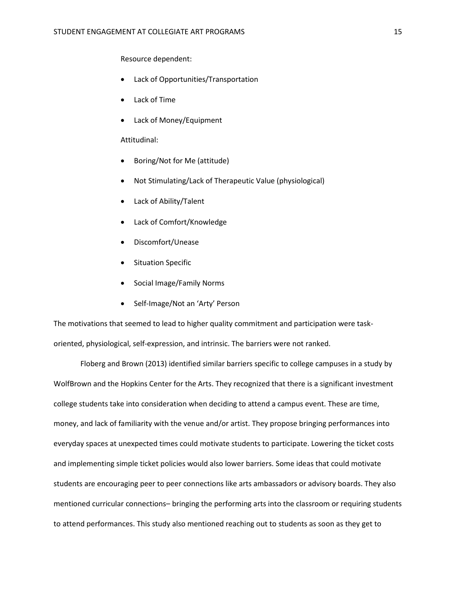Resource dependent:

- Lack of Opportunities/Transportation
- Lack of Time
- Lack of Money/Equipment

### Attitudinal:

- Boring/Not for Me (attitude)
- Not Stimulating/Lack of Therapeutic Value (physiological)
- Lack of Ability/Talent
- Lack of Comfort/Knowledge
- Discomfort/Unease
- **Situation Specific**
- Social Image/Family Norms
- Self-Image/Not an 'Arty' Person

The motivations that seemed to lead to higher quality commitment and participation were taskoriented, physiological, self-expression, and intrinsic. The barriers were not ranked.

Floberg and Brown (2013) identified similar barriers specific to college campuses in a study by WolfBrown and the Hopkins Center for the Arts. They recognized that there is a significant investment college students take into consideration when deciding to attend a campus event. These are time, money, and lack of familiarity with the venue and/or artist. They propose bringing performances into everyday spaces at unexpected times could motivate students to participate. Lowering the ticket costs and implementing simple ticket policies would also lower barriers. Some ideas that could motivate students are encouraging peer to peer connections like arts ambassadors or advisory boards. They also mentioned curricular connections– bringing the performing arts into the classroom or requiring students to attend performances. This study also mentioned reaching out to students as soon as they get to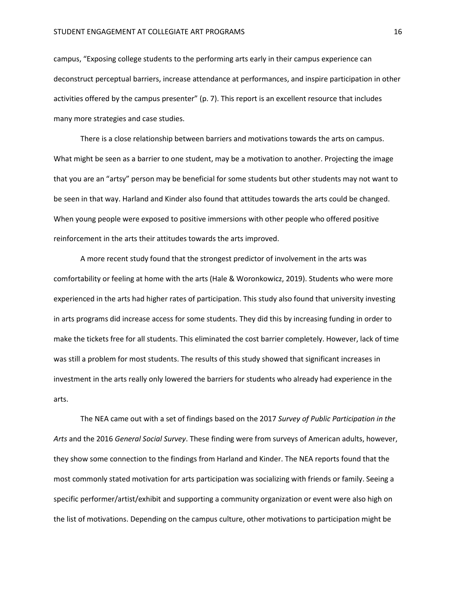campus, "Exposing college students to the performing arts early in their campus experience can deconstruct perceptual barriers, increase attendance at performances, and inspire participation in other activities offered by the campus presenter" (p. 7). This report is an excellent resource that includes many more strategies and case studies.

There is a close relationship between barriers and motivations towards the arts on campus. What might be seen as a barrier to one student, may be a motivation to another. Projecting the image that you are an "artsy" person may be beneficial for some students but other students may not want to be seen in that way. Harland and Kinder also found that attitudes towards the arts could be changed. When young people were exposed to positive immersions with other people who offered positive reinforcement in the arts their attitudes towards the arts improved.

A more recent study found that the strongest predictor of involvement in the arts was comfortability or feeling at home with the arts (Hale & Woronkowicz, 2019). Students who were more experienced in the arts had higher rates of participation. This study also found that university investing in arts programs did increase access for some students. They did this by increasing funding in order to make the tickets free for all students. This eliminated the cost barrier completely. However, lack of time was still a problem for most students. The results of this study showed that significant increases in investment in the arts really only lowered the barriers for students who already had experience in the arts.

The NEA came out with a set of findings based on the 2017 *Survey of Public Participation in the Arts* and the 2016 *General Social Survey*. These finding were from surveys of American adults, however, they show some connection to the findings from Harland and Kinder. The NEA reports found that the most commonly stated motivation for arts participation was socializing with friends or family. Seeing a specific performer/artist/exhibit and supporting a community organization or event were also high on the list of motivations. Depending on the campus culture, other motivations to participation might be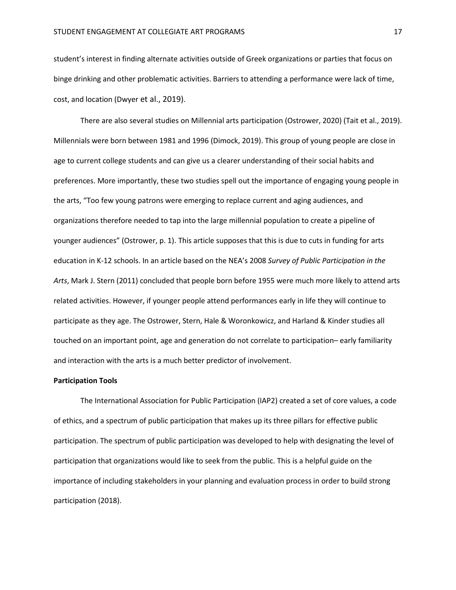student's interest in finding alternate activities outside of Greek organizations or parties that focus on binge drinking and other problematic activities. Barriers to attending a performance were lack of time, cost, and location (Dwyer et al., 2019).

There are also several studies on Millennial arts participation (Ostrower, 2020) (Tait et al., 2019). Millennials were born between 1981 and 1996 (Dimock, 2019). This group of young people are close in age to current college students and can give us a clearer understanding of their social habits and preferences. More importantly, these two studies spell out the importance of engaging young people in the arts, "Too few young patrons were emerging to replace current and aging audiences, and organizations therefore needed to tap into the large millennial population to create a pipeline of younger audiences" (Ostrower, p. 1). This article supposes that this is due to cuts in funding for arts education in K-12 schools. In an article based on the NEA's 2008 *Survey of Public Participation in the Arts*, Mark J. Stern (2011) concluded that people born before 1955 were much more likely to attend arts related activities. However, if younger people attend performances early in life they will continue to participate as they age. The Ostrower, Stern, Hale & Woronkowicz, and Harland & Kinder studies all touched on an important point, age and generation do not correlate to participation– early familiarity and interaction with the arts is a much better predictor of involvement.

### **Participation Tools**

The International Association for Public Participation (IAP2) created a set of core values, a code of ethics, and a spectrum of public participation that makes up its three pillars for effective public participation. The spectrum of public participation was developed to help with designating the level of participation that organizations would like to seek from the public. This is a helpful guide on the importance of including stakeholders in your planning and evaluation process in order to build strong participation (2018).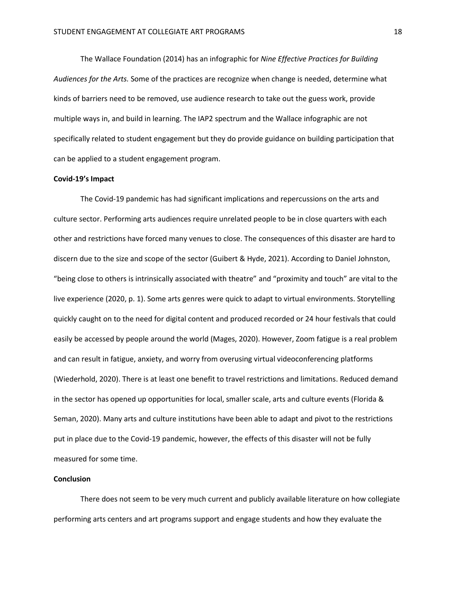The Wallace Foundation (2014) has an infographic for *Nine Effective Practices for Building Audiences for the Arts.* Some of the practices are recognize when change is needed, determine what kinds of barriers need to be removed, use audience research to take out the guess work, provide multiple ways in, and build in learning. The IAP2 spectrum and the Wallace infographic are not specifically related to student engagement but they do provide guidance on building participation that can be applied to a student engagement program.

#### **Covid-19's Impact**

The Covid-19 pandemic has had significant implications and repercussions on the arts and culture sector. Performing arts audiences require unrelated people to be in close quarters with each other and restrictions have forced many venues to close. The consequences of this disaster are hard to discern due to the size and scope of the sector (Guibert & Hyde, 2021). According to Daniel Johnston, "being close to others is intrinsically associated with theatre" and "proximity and touch" are vital to the live experience (2020, p. 1). Some arts genres were quick to adapt to virtual environments. Storytelling quickly caught on to the need for digital content and produced recorded or 24 hour festivals that could easily be accessed by people around the world (Mages, 2020). However, Zoom fatigue is a real problem and can result in fatigue, anxiety, and worry from overusing virtual videoconferencing platforms (Wiederhold, 2020). There is at least one benefit to travel restrictions and limitations. Reduced demand in the sector has opened up opportunities for local, smaller scale, arts and culture events (Florida & Seman, 2020). Many arts and culture institutions have been able to adapt and pivot to the restrictions put in place due to the Covid-19 pandemic, however, the effects of this disaster will not be fully measured for some time.

### **Conclusion**

There does not seem to be very much current and publicly available literature on how collegiate performing arts centers and art programs support and engage students and how they evaluate the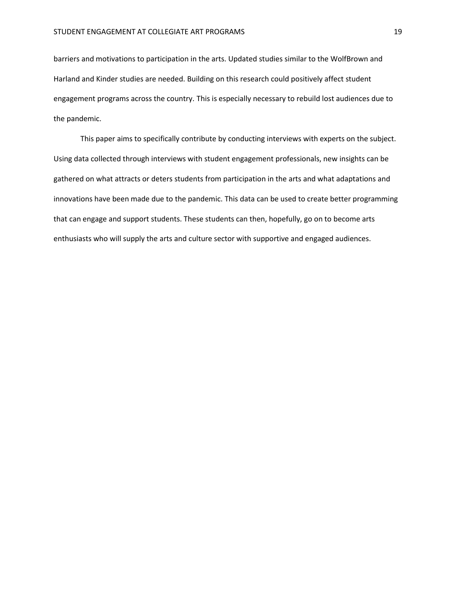barriers and motivations to participation in the arts. Updated studies similar to the WolfBrown and Harland and Kinder studies are needed. Building on this research could positively affect student engagement programs across the country. This is especially necessary to rebuild lost audiences due to the pandemic.

This paper aims to specifically contribute by conducting interviews with experts on the subject. Using data collected through interviews with student engagement professionals, new insights can be gathered on what attracts or deters students from participation in the arts and what adaptations and innovations have been made due to the pandemic. This data can be used to create better programming that can engage and support students. These students can then, hopefully, go on to become arts enthusiasts who will supply the arts and culture sector with supportive and engaged audiences.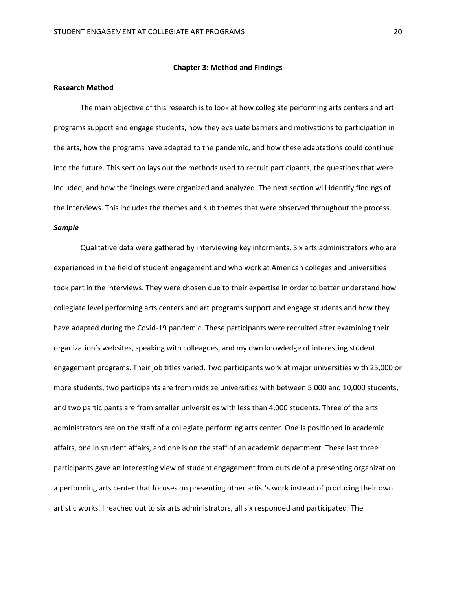#### **Chapter 3: Method and Findings**

### **Research Method**

The main objective of this research is to look at how collegiate performing arts centers and art programs support and engage students, how they evaluate barriers and motivations to participation in the arts, how the programs have adapted to the pandemic, and how these adaptations could continue into the future. This section lays out the methods used to recruit participants, the questions that were included, and how the findings were organized and analyzed. The next section will identify findings of the interviews. This includes the themes and sub themes that were observed throughout the process.

### *Sample*

Qualitative data were gathered by interviewing key informants. Six arts administrators who are experienced in the field of student engagement and who work at American colleges and universities took part in the interviews. They were chosen due to their expertise in order to better understand how collegiate level performing arts centers and art programs support and engage students and how they have adapted during the Covid-19 pandemic. These participants were recruited after examining their organization's websites, speaking with colleagues, and my own knowledge of interesting student engagement programs. Their job titles varied. Two participants work at major universities with 25,000 or more students, two participants are from midsize universities with between 5,000 and 10,000 students, and two participants are from smaller universities with less than 4,000 students. Three of the arts administrators are on the staff of a collegiate performing arts center. One is positioned in academic affairs, one in student affairs, and one is on the staff of an academic department. These last three participants gave an interesting view of student engagement from outside of a presenting organization – a performing arts center that focuses on presenting other artist's work instead of producing their own artistic works. I reached out to six arts administrators, all six responded and participated. The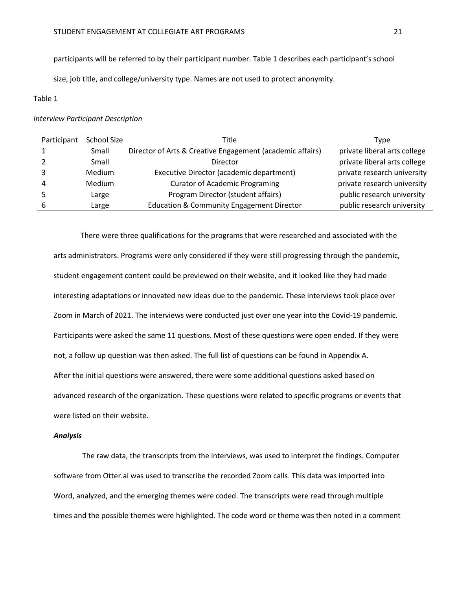participants will be referred to by their participant number. Table 1 describes each participant's school

size, job title, and college/university type. Names are not used to protect anonymity.

### Table 1

### *Interview Participant Description*

| Participant | <b>School Size</b> | Title                                                     | Type                         |
|-------------|--------------------|-----------------------------------------------------------|------------------------------|
|             | Small              | Director of Arts & Creative Engagement (academic affairs) | private liberal arts college |
|             | Small              | Director                                                  | private liberal arts college |
|             | Medium             | Executive Director (academic department)                  | private research university  |
|             | Medium             | <b>Curator of Academic Programing</b>                     | private research university  |
|             | Large              | Program Director (student affairs)                        | public research university   |
| 6           | Large              | <b>Education &amp; Community Engagement Director</b>      | public research university   |

#### There were three qualifications for the programs that were researched and associated with the

arts administrators. Programs were only considered if they were still progressing through the pandemic, student engagement content could be previewed on their website, and it looked like they had made interesting adaptations or innovated new ideas due to the pandemic. These interviews took place over Zoom in March of 2021. The interviews were conducted just over one year into the Covid-19 pandemic. Participants were asked the same 11 questions. Most of these questions were open ended. If they were not, a follow up question was then asked. The full list of questions can be found in Appendix A. After the initial questions were answered, there were some additional questions asked based on advanced research of the organization. These questions were related to specific programs or events that were listed on their website.

### *Analysis*

The raw data, the transcripts from the interviews, was used to interpret the findings. Computer software from Otter.ai was used to transcribe the recorded Zoom calls. This data was imported into Word, analyzed, and the emerging themes were coded. The transcripts were read through multiple times and the possible themes were highlighted. The code word or theme was then noted in a comment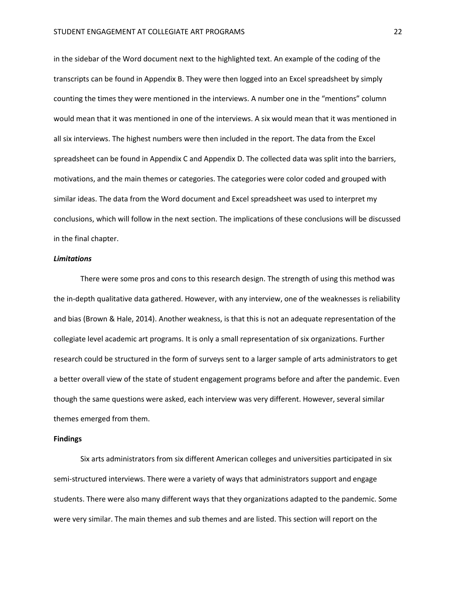in the sidebar of the Word document next to the highlighted text. An example of the coding of the transcripts can be found in Appendix B. They were then logged into an Excel spreadsheet by simply counting the times they were mentioned in the interviews. A number one in the "mentions" column would mean that it was mentioned in one of the interviews. A six would mean that it was mentioned in all six interviews. The highest numbers were then included in the report. The data from the Excel spreadsheet can be found in Appendix C and Appendix D. The collected data was split into the barriers, motivations, and the main themes or categories. The categories were color coded and grouped with similar ideas. The data from the Word document and Excel spreadsheet was used to interpret my conclusions, which will follow in the next section. The implications of these conclusions will be discussed in the final chapter.

### *Limitations*

There were some pros and cons to this research design. The strength of using this method was the in-depth qualitative data gathered. However, with any interview, one of the weaknesses is reliability and bias (Brown & Hale, 2014). Another weakness, is that this is not an adequate representation of the collegiate level academic art programs. It is only a small representation of six organizations. Further research could be structured in the form of surveys sent to a larger sample of arts administrators to get a better overall view of the state of student engagement programs before and after the pandemic. Even though the same questions were asked, each interview was very different. However, several similar themes emerged from them.

### **Findings**

Six arts administrators from six different American colleges and universities participated in six semi-structured interviews. There were a variety of ways that administrators support and engage students. There were also many different ways that they organizations adapted to the pandemic. Some were very similar. The main themes and sub themes and are listed. This section will report on the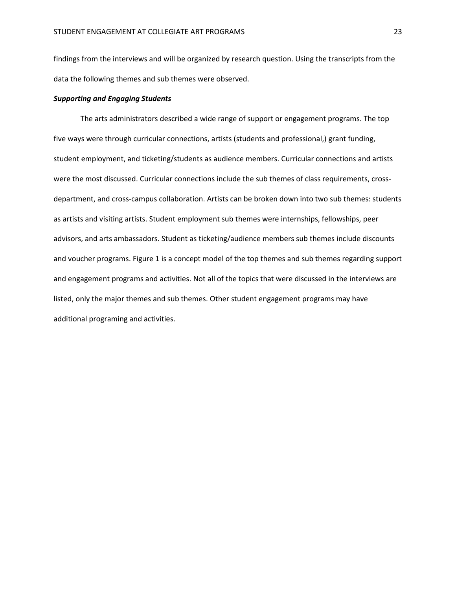findings from the interviews and will be organized by research question. Using the transcripts from the data the following themes and sub themes were observed.

### *Supporting and Engaging Students*

The arts administrators described a wide range of support or engagement programs. The top five ways were through curricular connections, artists (students and professional,) grant funding, student employment, and ticketing/students as audience members. Curricular connections and artists were the most discussed. Curricular connections include the sub themes of class requirements, crossdepartment, and cross-campus collaboration. Artists can be broken down into two sub themes: students as artists and visiting artists. Student employment sub themes were internships, fellowships, peer advisors, and arts ambassadors. Student as ticketing/audience members sub themes include discounts and voucher programs. Figure 1 is a concept model of the top themes and sub themes regarding support and engagement programs and activities. Not all of the topics that were discussed in the interviews are listed, only the major themes and sub themes. Other student engagement programs may have additional programing and activities.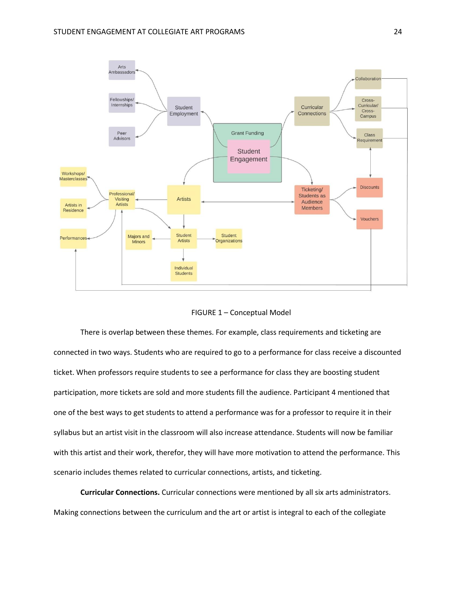



There is overlap between these themes. For example, class requirements and ticketing are connected in two ways. Students who are required to go to a performance for class receive a discounted ticket. When professors require students to see a performance for class they are boosting student participation, more tickets are sold and more students fill the audience. Participant 4 mentioned that one of the best ways to get students to attend a performance was for a professor to require it in their syllabus but an artist visit in the classroom will also increase attendance. Students will now be familiar with this artist and their work, therefor, they will have more motivation to attend the performance. This scenario includes themes related to curricular connections, artists, and ticketing.

**Curricular Connections.** Curricular connections were mentioned by all six arts administrators. Making connections between the curriculum and the art or artist is integral to each of the collegiate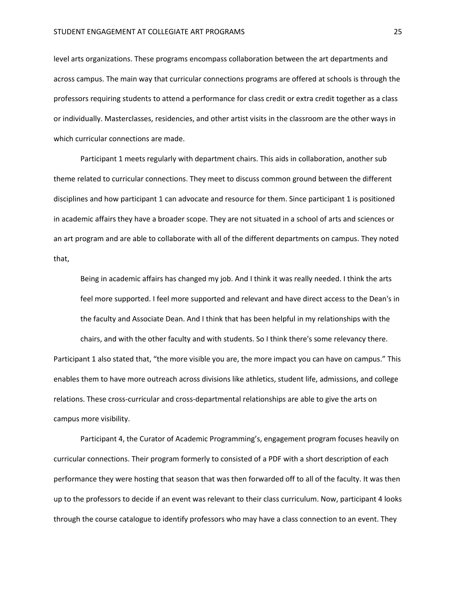level arts organizations. These programs encompass collaboration between the art departments and across campus. The main way that curricular connections programs are offered at schools is through the professors requiring students to attend a performance for class credit or extra credit together as a class or individually. Masterclasses, residencies, and other artist visits in the classroom are the other ways in which curricular connections are made.

Participant 1 meets regularly with department chairs. This aids in collaboration, another sub theme related to curricular connections. They meet to discuss common ground between the different disciplines and how participant 1 can advocate and resource for them. Since participant 1 is positioned in academic affairs they have a broader scope. They are not situated in a school of arts and sciences or an art program and are able to collaborate with all of the different departments on campus. They noted that,

Being in academic affairs has changed my job. And I think it was really needed. I think the arts feel more supported. I feel more supported and relevant and have direct access to the Dean's in the faculty and Associate Dean. And I think that has been helpful in my relationships with the

chairs, and with the other faculty and with students. So I think there's some relevancy there. Participant 1 also stated that, "the more visible you are, the more impact you can have on campus." This enables them to have more outreach across divisions like athletics, student life, admissions, and college relations. These cross-curricular and cross-departmental relationships are able to give the arts on campus more visibility.

Participant 4, the Curator of Academic Programming's, engagement program focuses heavily on curricular connections. Their program formerly to consisted of a PDF with a short description of each performance they were hosting that season that was then forwarded off to all of the faculty. It was then up to the professors to decide if an event was relevant to their class curriculum. Now, participant 4 looks through the course catalogue to identify professors who may have a class connection to an event. They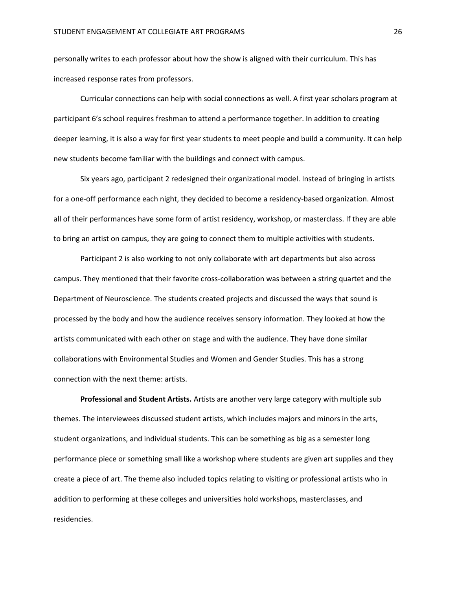personally writes to each professor about how the show is aligned with their curriculum. This has increased response rates from professors.

Curricular connections can help with social connections as well. A first year scholars program at participant 6's school requires freshman to attend a performance together. In addition to creating deeper learning, it is also a way for first year students to meet people and build a community. It can help new students become familiar with the buildings and connect with campus.

Six years ago, participant 2 redesigned their organizational model. Instead of bringing in artists for a one-off performance each night, they decided to become a residency-based organization. Almost all of their performances have some form of artist residency, workshop, or masterclass. If they are able to bring an artist on campus, they are going to connect them to multiple activities with students.

Participant 2 is also working to not only collaborate with art departments but also across campus. They mentioned that their favorite cross-collaboration was between a string quartet and the Department of Neuroscience. The students created projects and discussed the ways that sound is processed by the body and how the audience receives sensory information. They looked at how the artists communicated with each other on stage and with the audience. They have done similar collaborations with Environmental Studies and Women and Gender Studies. This has a strong connection with the next theme: artists.

**Professional and Student Artists.** Artists are another very large category with multiple sub themes. The interviewees discussed student artists, which includes majors and minors in the arts, student organizations, and individual students. This can be something as big as a semester long performance piece or something small like a workshop where students are given art supplies and they create a piece of art. The theme also included topics relating to visiting or professional artists who in addition to performing at these colleges and universities hold workshops, masterclasses, and residencies.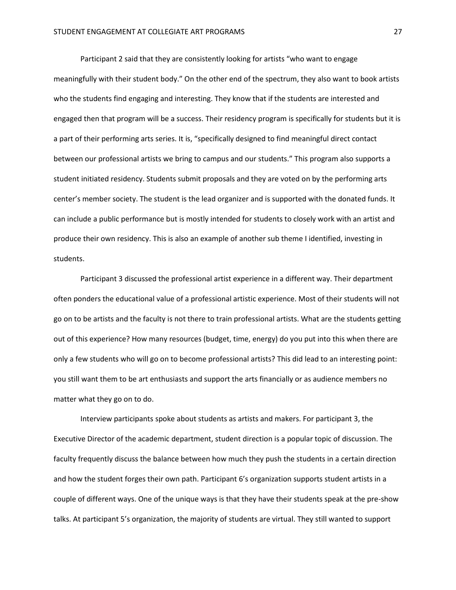Participant 2 said that they are consistently looking for artists "who want to engage meaningfully with their student body." On the other end of the spectrum, they also want to book artists who the students find engaging and interesting. They know that if the students are interested and engaged then that program will be a success. Their residency program is specifically for students but it is a part of their performing arts series. It is, "specifically designed to find meaningful direct contact between our professional artists we bring to campus and our students." This program also supports a student initiated residency. Students submit proposals and they are voted on by the performing arts center's member society. The student is the lead organizer and is supported with the donated funds. It can include a public performance but is mostly intended for students to closely work with an artist and produce their own residency. This is also an example of another sub theme I identified, investing in students.

Participant 3 discussed the professional artist experience in a different way. Their department often ponders the educational value of a professional artistic experience. Most of their students will not go on to be artists and the faculty is not there to train professional artists. What are the students getting out of this experience? How many resources (budget, time, energy) do you put into this when there are only a few students who will go on to become professional artists? This did lead to an interesting point: you still want them to be art enthusiasts and support the arts financially or as audience members no matter what they go on to do.

Interview participants spoke about students as artists and makers. For participant 3, the Executive Director of the academic department, student direction is a popular topic of discussion. The faculty frequently discuss the balance between how much they push the students in a certain direction and how the student forges their own path. Participant 6's organization supports student artists in a couple of different ways. One of the unique ways is that they have their students speak at the pre-show talks. At participant 5's organization, the majority of students are virtual. They still wanted to support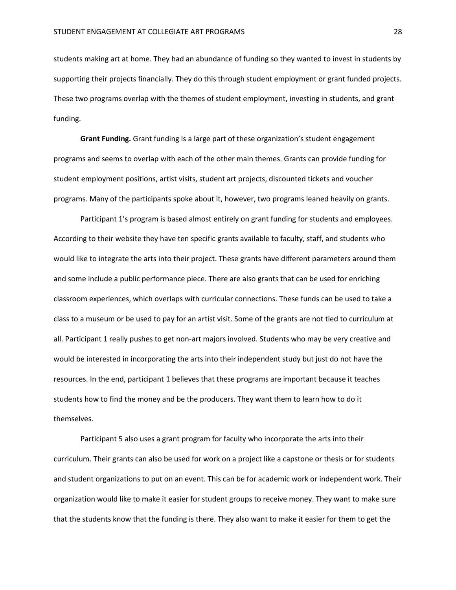students making art at home. They had an abundance of funding so they wanted to invest in students by supporting their projects financially. They do this through student employment or grant funded projects. These two programs overlap with the themes of student employment, investing in students, and grant funding.

**Grant Funding.** Grant funding is a large part of these organization's student engagement programs and seems to overlap with each of the other main themes. Grants can provide funding for student employment positions, artist visits, student art projects, discounted tickets and voucher programs. Many of the participants spoke about it, however, two programs leaned heavily on grants.

Participant 1's program is based almost entirely on grant funding for students and employees. According to their website they have ten specific grants available to faculty, staff, and students who would like to integrate the arts into their project. These grants have different parameters around them and some include a public performance piece. There are also grants that can be used for enriching classroom experiences, which overlaps with curricular connections. These funds can be used to take a class to a museum or be used to pay for an artist visit. Some of the grants are not tied to curriculum at all. Participant 1 really pushes to get non-art majors involved. Students who may be very creative and would be interested in incorporating the arts into their independent study but just do not have the resources. In the end, participant 1 believes that these programs are important because it teaches students how to find the money and be the producers. They want them to learn how to do it themselves.

Participant 5 also uses a grant program for faculty who incorporate the arts into their curriculum. Their grants can also be used for work on a project like a capstone or thesis or for students and student organizations to put on an event. This can be for academic work or independent work. Their organization would like to make it easier for student groups to receive money. They want to make sure that the students know that the funding is there. They also want to make it easier for them to get the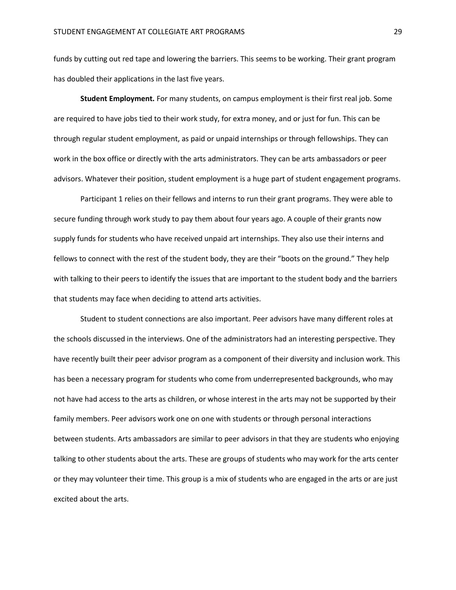funds by cutting out red tape and lowering the barriers. This seems to be working. Their grant program has doubled their applications in the last five years.

**Student Employment.** For many students, on campus employment is their first real job. Some are required to have jobs tied to their work study, for extra money, and or just for fun. This can be through regular student employment, as paid or unpaid internships or through fellowships. They can work in the box office or directly with the arts administrators. They can be arts ambassadors or peer advisors. Whatever their position, student employment is a huge part of student engagement programs.

Participant 1 relies on their fellows and interns to run their grant programs. They were able to secure funding through work study to pay them about four years ago. A couple of their grants now supply funds for students who have received unpaid art internships. They also use their interns and fellows to connect with the rest of the student body, they are their "boots on the ground." They help with talking to their peers to identify the issues that are important to the student body and the barriers that students may face when deciding to attend arts activities.

Student to student connections are also important. Peer advisors have many different roles at the schools discussed in the interviews. One of the administrators had an interesting perspective. They have recently built their peer advisor program as a component of their diversity and inclusion work. This has been a necessary program for students who come from underrepresented backgrounds, who may not have had access to the arts as children, or whose interest in the arts may not be supported by their family members. Peer advisors work one on one with students or through personal interactions between students. Arts ambassadors are similar to peer advisors in that they are students who enjoying talking to other students about the arts. These are groups of students who may work for the arts center or they may volunteer their time. This group is a mix of students who are engaged in the arts or are just excited about the arts.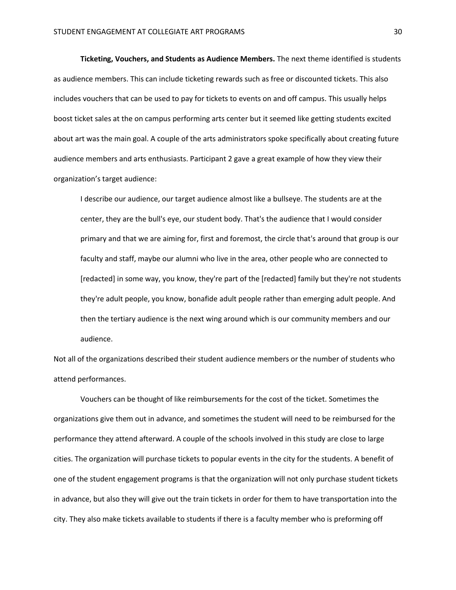**Ticketing, Vouchers, and Students as Audience Members.** The next theme identified is students as audience members. This can include ticketing rewards such as free or discounted tickets. This also includes vouchers that can be used to pay for tickets to events on and off campus. This usually helps boost ticket sales at the on campus performing arts center but it seemed like getting students excited about art was the main goal. A couple of the arts administrators spoke specifically about creating future audience members and arts enthusiasts. Participant 2 gave a great example of how they view their organization's target audience:

I describe our audience, our target audience almost like a bullseye. The students are at the center, they are the bull's eye, our student body. That's the audience that I would consider primary and that we are aiming for, first and foremost, the circle that's around that group is our faculty and staff, maybe our alumni who live in the area, other people who are connected to [redacted] in some way, you know, they're part of the [redacted] family but they're not students they're adult people, you know, bonafide adult people rather than emerging adult people. And then the tertiary audience is the next wing around which is our community members and our audience.

Not all of the organizations described their student audience members or the number of students who attend performances.

Vouchers can be thought of like reimbursements for the cost of the ticket. Sometimes the organizations give them out in advance, and sometimes the student will need to be reimbursed for the performance they attend afterward. A couple of the schools involved in this study are close to large cities. The organization will purchase tickets to popular events in the city for the students. A benefit of one of the student engagement programs is that the organization will not only purchase student tickets in advance, but also they will give out the train tickets in order for them to have transportation into the city. They also make tickets available to students if there is a faculty member who is preforming off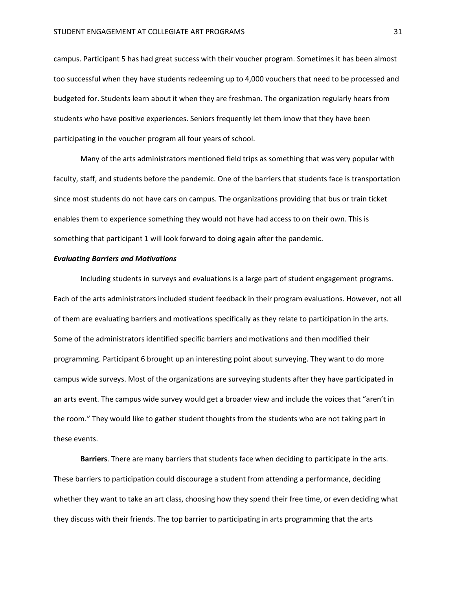campus. Participant 5 has had great success with their voucher program. Sometimes it has been almost too successful when they have students redeeming up to 4,000 vouchers that need to be processed and budgeted for. Students learn about it when they are freshman. The organization regularly hears from students who have positive experiences. Seniors frequently let them know that they have been participating in the voucher program all four years of school.

Many of the arts administrators mentioned field trips as something that was very popular with faculty, staff, and students before the pandemic. One of the barriers that students face is transportation since most students do not have cars on campus. The organizations providing that bus or train ticket enables them to experience something they would not have had access to on their own. This is something that participant 1 will look forward to doing again after the pandemic.

### *Evaluating Barriers and Motivations*

Including students in surveys and evaluations is a large part of student engagement programs. Each of the arts administrators included student feedback in their program evaluations. However, not all of them are evaluating barriers and motivations specifically as they relate to participation in the arts. Some of the administrators identified specific barriers and motivations and then modified their programming. Participant 6 brought up an interesting point about surveying. They want to do more campus wide surveys. Most of the organizations are surveying students after they have participated in an arts event. The campus wide survey would get a broader view and include the voices that "aren't in the room." They would like to gather student thoughts from the students who are not taking part in these events.

**Barriers**. There are many barriers that students face when deciding to participate in the arts. These barriers to participation could discourage a student from attending a performance, deciding whether they want to take an art class, choosing how they spend their free time, or even deciding what they discuss with their friends. The top barrier to participating in arts programming that the arts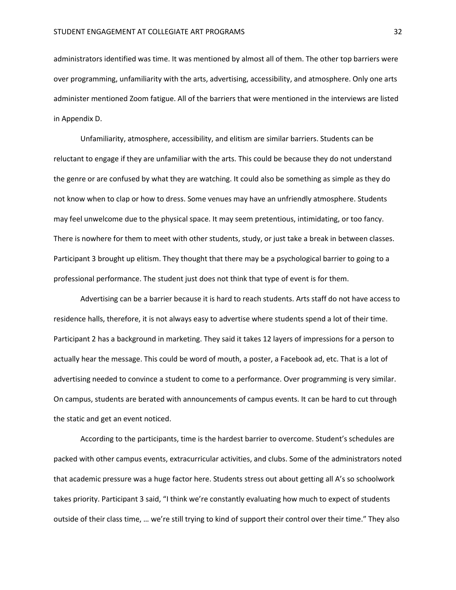administrators identified was time. It was mentioned by almost all of them. The other top barriers were over programming, unfamiliarity with the arts, advertising, accessibility, and atmosphere. Only one arts administer mentioned Zoom fatigue. All of the barriers that were mentioned in the interviews are listed in Appendix D.

Unfamiliarity, atmosphere, accessibility, and elitism are similar barriers. Students can be reluctant to engage if they are unfamiliar with the arts. This could be because they do not understand the genre or are confused by what they are watching. It could also be something as simple as they do not know when to clap or how to dress. Some venues may have an unfriendly atmosphere. Students may feel unwelcome due to the physical space. It may seem pretentious, intimidating, or too fancy. There is nowhere for them to meet with other students, study, or just take a break in between classes. Participant 3 brought up elitism. They thought that there may be a psychological barrier to going to a professional performance. The student just does not think that type of event is for them.

Advertising can be a barrier because it is hard to reach students. Arts staff do not have access to residence halls, therefore, it is not always easy to advertise where students spend a lot of their time. Participant 2 has a background in marketing. They said it takes 12 layers of impressions for a person to actually hear the message. This could be word of mouth, a poster, a Facebook ad, etc. That is a lot of advertising needed to convince a student to come to a performance. Over programming is very similar. On campus, students are berated with announcements of campus events. It can be hard to cut through the static and get an event noticed.

According to the participants, time is the hardest barrier to overcome. Student's schedules are packed with other campus events, extracurricular activities, and clubs. Some of the administrators noted that academic pressure was a huge factor here. Students stress out about getting all A's so schoolwork takes priority. Participant 3 said, "I think we're constantly evaluating how much to expect of students outside of their class time, … we're still trying to kind of support their control over their time." They also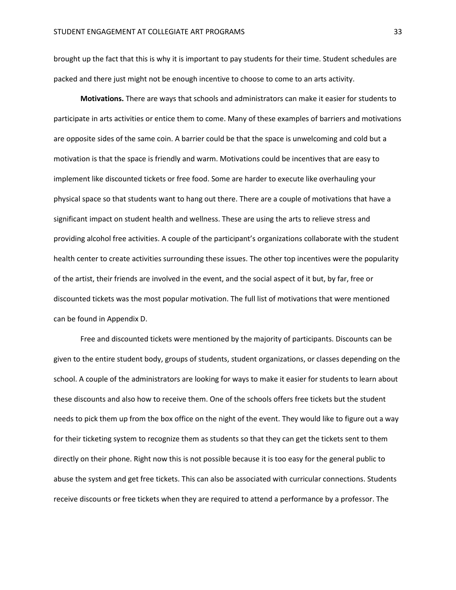brought up the fact that this is why it is important to pay students for their time. Student schedules are packed and there just might not be enough incentive to choose to come to an arts activity.

**Motivations.** There are ways that schools and administrators can make it easier for students to participate in arts activities or entice them to come. Many of these examples of barriers and motivations are opposite sides of the same coin. A barrier could be that the space is unwelcoming and cold but a motivation is that the space is friendly and warm. Motivations could be incentives that are easy to implement like discounted tickets or free food. Some are harder to execute like overhauling your physical space so that students want to hang out there. There are a couple of motivations that have a significant impact on student health and wellness. These are using the arts to relieve stress and providing alcohol free activities. A couple of the participant's organizations collaborate with the student health center to create activities surrounding these issues. The other top incentives were the popularity of the artist, their friends are involved in the event, and the social aspect of it but, by far, free or discounted tickets was the most popular motivation. The full list of motivations that were mentioned can be found in Appendix D.

Free and discounted tickets were mentioned by the majority of participants. Discounts can be given to the entire student body, groups of students, student organizations, or classes depending on the school. A couple of the administrators are looking for ways to make it easier for students to learn about these discounts and also how to receive them. One of the schools offers free tickets but the student needs to pick them up from the box office on the night of the event. They would like to figure out a way for their ticketing system to recognize them as students so that they can get the tickets sent to them directly on their phone. Right now this is not possible because it is too easy for the general public to abuse the system and get free tickets. This can also be associated with curricular connections. Students receive discounts or free tickets when they are required to attend a performance by a professor. The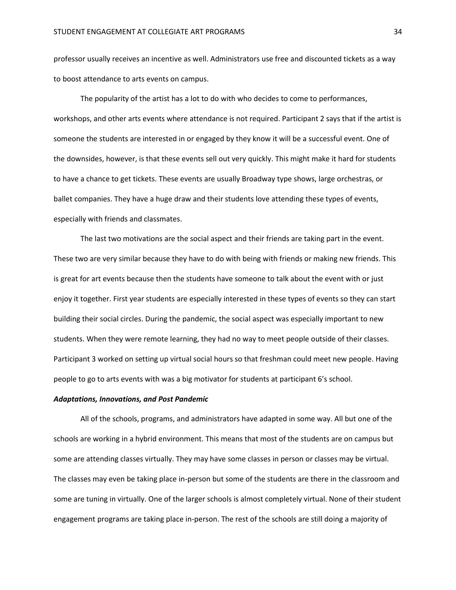professor usually receives an incentive as well. Administrators use free and discounted tickets as a way to boost attendance to arts events on campus.

The popularity of the artist has a lot to do with who decides to come to performances, workshops, and other arts events where attendance is not required. Participant 2 says that if the artist is someone the students are interested in or engaged by they know it will be a successful event. One of the downsides, however, is that these events sell out very quickly. This might make it hard for students to have a chance to get tickets. These events are usually Broadway type shows, large orchestras, or ballet companies. They have a huge draw and their students love attending these types of events, especially with friends and classmates.

The last two motivations are the social aspect and their friends are taking part in the event. These two are very similar because they have to do with being with friends or making new friends. This is great for art events because then the students have someone to talk about the event with or just enjoy it together. First year students are especially interested in these types of events so they can start building their social circles. During the pandemic, the social aspect was especially important to new students. When they were remote learning, they had no way to meet people outside of their classes. Participant 3 worked on setting up virtual social hours so that freshman could meet new people. Having people to go to arts events with was a big motivator for students at participant 6's school.

### *Adaptations, Innovations, and Post Pandemic*

All of the schools, programs, and administrators have adapted in some way. All but one of the schools are working in a hybrid environment. This means that most of the students are on campus but some are attending classes virtually. They may have some classes in person or classes may be virtual. The classes may even be taking place in-person but some of the students are there in the classroom and some are tuning in virtually. One of the larger schools is almost completely virtual. None of their student engagement programs are taking place in-person. The rest of the schools are still doing a majority of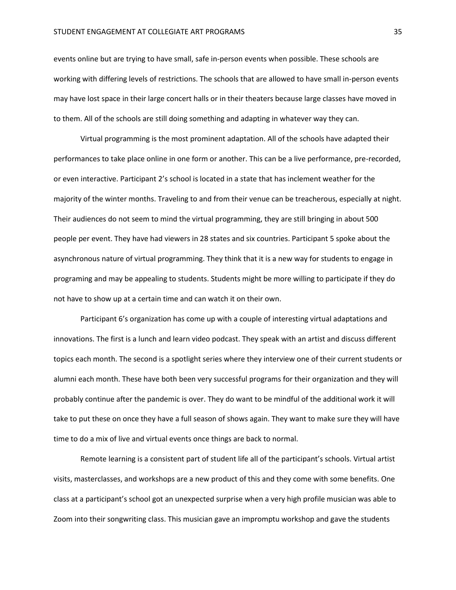events online but are trying to have small, safe in-person events when possible. These schools are working with differing levels of restrictions. The schools that are allowed to have small in-person events may have lost space in their large concert halls or in their theaters because large classes have moved in to them. All of the schools are still doing something and adapting in whatever way they can.

Virtual programming is the most prominent adaptation. All of the schools have adapted their performances to take place online in one form or another. This can be a live performance, pre-recorded, or even interactive. Participant 2's school is located in a state that has inclement weather for the majority of the winter months. Traveling to and from their venue can be treacherous, especially at night. Their audiences do not seem to mind the virtual programming, they are still bringing in about 500 people per event. They have had viewers in 28 states and six countries. Participant 5 spoke about the asynchronous nature of virtual programming. They think that it is a new way for students to engage in programing and may be appealing to students. Students might be more willing to participate if they do not have to show up at a certain time and can watch it on their own.

Participant 6's organization has come up with a couple of interesting virtual adaptations and innovations. The first is a lunch and learn video podcast. They speak with an artist and discuss different topics each month. The second is a spotlight series where they interview one of their current students or alumni each month. These have both been very successful programs for their organization and they will probably continue after the pandemic is over. They do want to be mindful of the additional work it will take to put these on once they have a full season of shows again. They want to make sure they will have time to do a mix of live and virtual events once things are back to normal.

Remote learning is a consistent part of student life all of the participant's schools. Virtual artist visits, masterclasses, and workshops are a new product of this and they come with some benefits. One class at a participant's school got an unexpected surprise when a very high profile musician was able to Zoom into their songwriting class. This musician gave an impromptu workshop and gave the students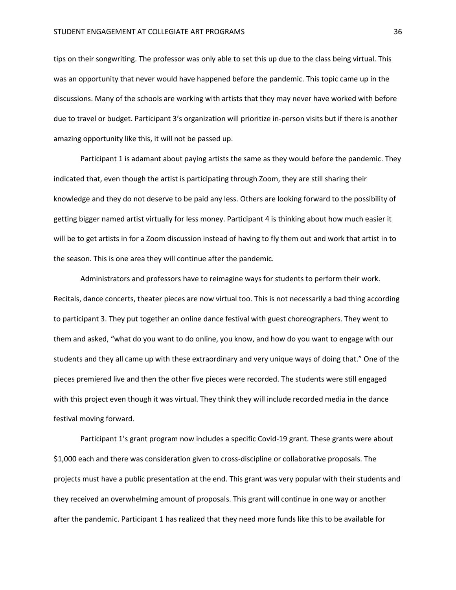tips on their songwriting. The professor was only able to set this up due to the class being virtual. This was an opportunity that never would have happened before the pandemic. This topic came up in the discussions. Many of the schools are working with artists that they may never have worked with before due to travel or budget. Participant 3's organization will prioritize in-person visits but if there is another amazing opportunity like this, it will not be passed up.

Participant 1 is adamant about paying artists the same as they would before the pandemic. They indicated that, even though the artist is participating through Zoom, they are still sharing their knowledge and they do not deserve to be paid any less. Others are looking forward to the possibility of getting bigger named artist virtually for less money. Participant 4 is thinking about how much easier it will be to get artists in for a Zoom discussion instead of having to fly them out and work that artist in to the season. This is one area they will continue after the pandemic.

Administrators and professors have to reimagine ways for students to perform their work. Recitals, dance concerts, theater pieces are now virtual too. This is not necessarily a bad thing according to participant 3. They put together an online dance festival with guest choreographers. They went to them and asked, "what do you want to do online, you know, and how do you want to engage with our students and they all came up with these extraordinary and very unique ways of doing that." One of the pieces premiered live and then the other five pieces were recorded. The students were still engaged with this project even though it was virtual. They think they will include recorded media in the dance festival moving forward.

Participant 1's grant program now includes a specific Covid-19 grant. These grants were about \$1,000 each and there was consideration given to cross-discipline or collaborative proposals. The projects must have a public presentation at the end. This grant was very popular with their students and they received an overwhelming amount of proposals. This grant will continue in one way or another after the pandemic. Participant 1 has realized that they need more funds like this to be available for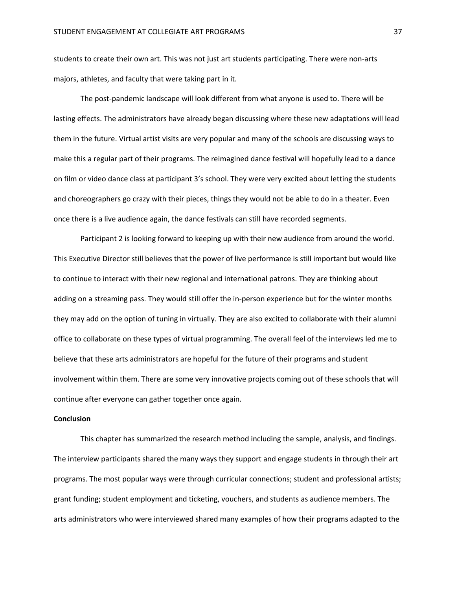students to create their own art. This was not just art students participating. There were non-arts majors, athletes, and faculty that were taking part in it.

The post-pandemic landscape will look different from what anyone is used to. There will be lasting effects. The administrators have already began discussing where these new adaptations will lead them in the future. Virtual artist visits are very popular and many of the schools are discussing ways to make this a regular part of their programs. The reimagined dance festival will hopefully lead to a dance on film or video dance class at participant 3's school. They were very excited about letting the students and choreographers go crazy with their pieces, things they would not be able to do in a theater. Even once there is a live audience again, the dance festivals can still have recorded segments.

Participant 2 is looking forward to keeping up with their new audience from around the world. This Executive Director still believes that the power of live performance is still important but would like to continue to interact with their new regional and international patrons. They are thinking about adding on a streaming pass. They would still offer the in-person experience but for the winter months they may add on the option of tuning in virtually. They are also excited to collaborate with their alumni office to collaborate on these types of virtual programming. The overall feel of the interviews led me to believe that these arts administrators are hopeful for the future of their programs and student involvement within them. There are some very innovative projects coming out of these schools that will continue after everyone can gather together once again.

### **Conclusion**

This chapter has summarized the research method including the sample, analysis, and findings. The interview participants shared the many ways they support and engage students in through their art programs. The most popular ways were through curricular connections; student and professional artists; grant funding; student employment and ticketing, vouchers, and students as audience members. The arts administrators who were interviewed shared many examples of how their programs adapted to the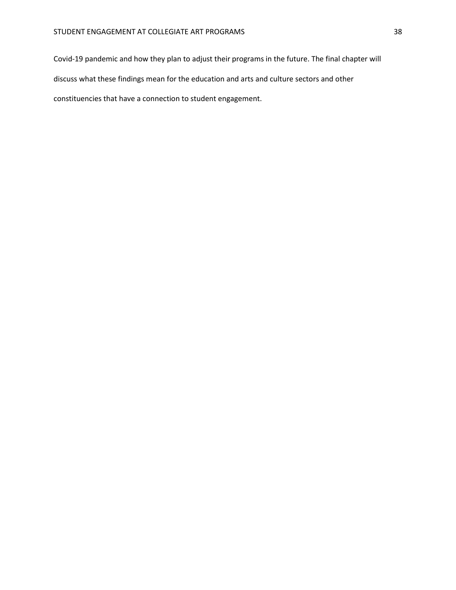Covid-19 pandemic and how they plan to adjust their programs in the future. The final chapter will discuss what these findings mean for the education and arts and culture sectors and other constituencies that have a connection to student engagement.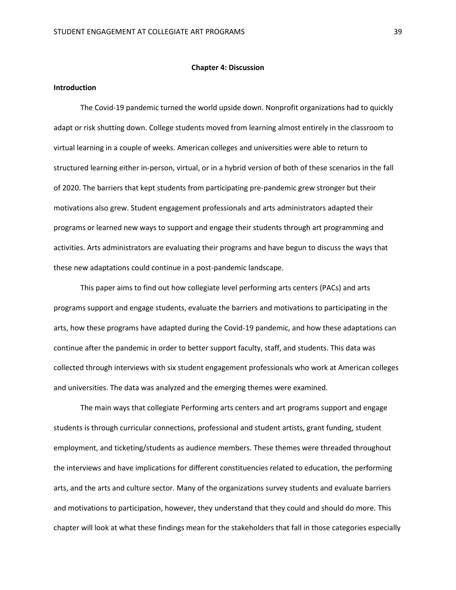#### **Chapter 4: Discussion**

### **Introduction**

The Covid-19 pandemic turned the world upside down. Nonprofit organizations had to quickly adapt or risk shutting down. College students moved from learning almost entirely in the classroom to virtual learning in a couple of weeks. American colleges and universities were able to return to structured learning either in-person, virtual, or in a hybrid version of both of these scenarios in the fall of 2020. The barriers that kept students from participating pre-pandemic grew stronger but their motivations also grew. Student engagement professionals and arts administrators adapted their programs or learned new ways to support and engage their students through art programming and activities. Arts administrators are evaluating their programs and have begun to discuss the ways that these new adaptations could continue in a post-pandemic landscape.

This paper aims to find out how collegiate level performing arts centers (PACs) and arts programs support and engage students, evaluate the barriers and motivations to participating in the arts, how these programs have adapted during the Covid-19 pandemic, and how these adaptations can continue after the pandemic in order to better support faculty, staff, and students. This data was collected through interviews with six student engagement professionals who work at American colleges and universities. The data was analyzed and the emerging themes were examined.

The main ways that collegiate Performing arts centers and art programs support and engage students is through curricular connections, professional and student artists, grant funding, student employment, and ticketing/students as audience members. These themes were threaded throughout the interviews and have implications for different constituencies related to education, the performing arts, and the arts and culture sector. Many of the organizations survey students and evaluate barriers and motivations to participation, however, they understand that they could and should do more. This chapter will look at what these findings mean for the stakeholders that fall in those categories especially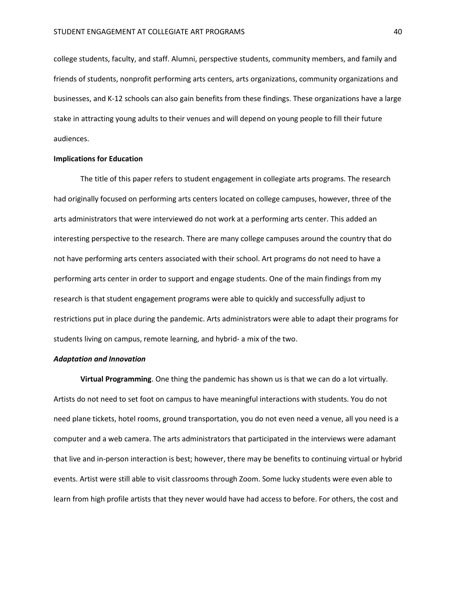college students, faculty, and staff. Alumni, perspective students, community members, and family and friends of students, nonprofit performing arts centers, arts organizations, community organizations and businesses, and K-12 schools can also gain benefits from these findings. These organizations have a large stake in attracting young adults to their venues and will depend on young people to fill their future audiences.

### **Implications for Education**

The title of this paper refers to student engagement in collegiate arts programs. The research had originally focused on performing arts centers located on college campuses, however, three of the arts administrators that were interviewed do not work at a performing arts center. This added an interesting perspective to the research. There are many college campuses around the country that do not have performing arts centers associated with their school. Art programs do not need to have a performing arts center in order to support and engage students. One of the main findings from my research is that student engagement programs were able to quickly and successfully adjust to restrictions put in place during the pandemic. Arts administrators were able to adapt their programs for students living on campus, remote learning, and hybrid- a mix of the two.

### *Adaptation and Innovation*

**Virtual Programming**. One thing the pandemic has shown us is that we can do a lot virtually. Artists do not need to set foot on campus to have meaningful interactions with students. You do not need plane tickets, hotel rooms, ground transportation, you do not even need a venue, all you need is a computer and a web camera. The arts administrators that participated in the interviews were adamant that live and in-person interaction is best; however, there may be benefits to continuing virtual or hybrid events. Artist were still able to visit classrooms through Zoom. Some lucky students were even able to learn from high profile artists that they never would have had access to before. For others, the cost and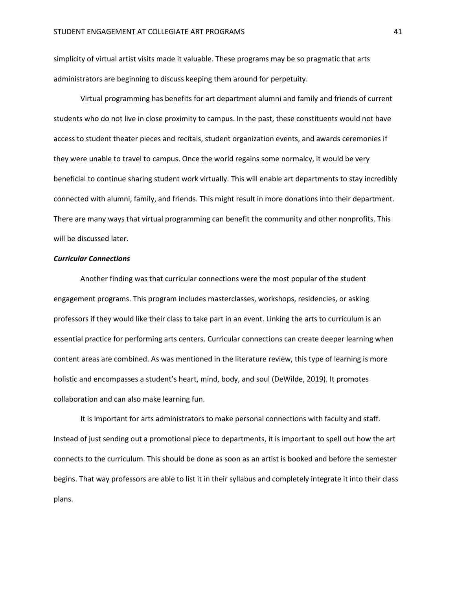simplicity of virtual artist visits made it valuable. These programs may be so pragmatic that arts administrators are beginning to discuss keeping them around for perpetuity.

Virtual programming has benefits for art department alumni and family and friends of current students who do not live in close proximity to campus. In the past, these constituents would not have access to student theater pieces and recitals, student organization events, and awards ceremonies if they were unable to travel to campus. Once the world regains some normalcy, it would be very beneficial to continue sharing student work virtually. This will enable art departments to stay incredibly connected with alumni, family, and friends. This might result in more donations into their department. There are many ways that virtual programming can benefit the community and other nonprofits. This will be discussed later.

### *Curricular Connections*

Another finding was that curricular connections were the most popular of the student engagement programs. This program includes masterclasses, workshops, residencies, or asking professors if they would like their class to take part in an event. Linking the arts to curriculum is an essential practice for performing arts centers. Curricular connections can create deeper learning when content areas are combined. As was mentioned in the literature review, this type of learning is more holistic and encompasses a student's heart, mind, body, and soul (DeWilde, 2019). It promotes collaboration and can also make learning fun.

It is important for arts administrators to make personal connections with faculty and staff. Instead of just sending out a promotional piece to departments, it is important to spell out how the art connects to the curriculum. This should be done as soon as an artist is booked and before the semester begins. That way professors are able to list it in their syllabus and completely integrate it into their class plans.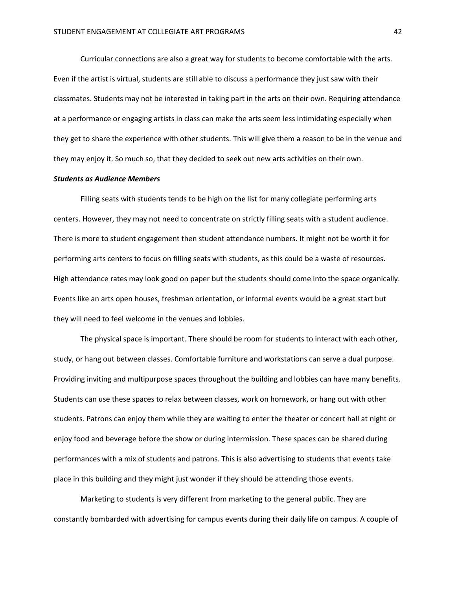Curricular connections are also a great way for students to become comfortable with the arts. Even if the artist is virtual, students are still able to discuss a performance they just saw with their classmates. Students may not be interested in taking part in the arts on their own. Requiring attendance at a performance or engaging artists in class can make the arts seem less intimidating especially when they get to share the experience with other students. This will give them a reason to be in the venue and they may enjoy it. So much so, that they decided to seek out new arts activities on their own.

### *Students as Audience Members*

Filling seats with students tends to be high on the list for many collegiate performing arts centers. However, they may not need to concentrate on strictly filling seats with a student audience. There is more to student engagement then student attendance numbers. It might not be worth it for performing arts centers to focus on filling seats with students, as this could be a waste of resources. High attendance rates may look good on paper but the students should come into the space organically. Events like an arts open houses, freshman orientation, or informal events would be a great start but they will need to feel welcome in the venues and lobbies.

The physical space is important. There should be room for students to interact with each other, study, or hang out between classes. Comfortable furniture and workstations can serve a dual purpose. Providing inviting and multipurpose spaces throughout the building and lobbies can have many benefits. Students can use these spaces to relax between classes, work on homework, or hang out with other students. Patrons can enjoy them while they are waiting to enter the theater or concert hall at night or enjoy food and beverage before the show or during intermission. These spaces can be shared during performances with a mix of students and patrons. This is also advertising to students that events take place in this building and they might just wonder if they should be attending those events.

Marketing to students is very different from marketing to the general public. They are constantly bombarded with advertising for campus events during their daily life on campus. A couple of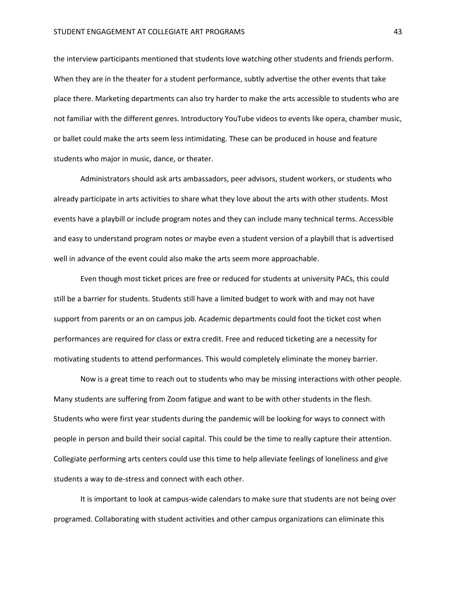the interview participants mentioned that students love watching other students and friends perform. When they are in the theater for a student performance, subtly advertise the other events that take place there. Marketing departments can also try harder to make the arts accessible to students who are not familiar with the different genres. Introductory YouTube videos to events like opera, chamber music, or ballet could make the arts seem less intimidating. These can be produced in house and feature students who major in music, dance, or theater.

Administrators should ask arts ambassadors, peer advisors, student workers, or students who already participate in arts activities to share what they love about the arts with other students. Most events have a playbill or include program notes and they can include many technical terms. Accessible and easy to understand program notes or maybe even a student version of a playbill that is advertised well in advance of the event could also make the arts seem more approachable.

Even though most ticket prices are free or reduced for students at university PACs, this could still be a barrier for students. Students still have a limited budget to work with and may not have support from parents or an on campus job. Academic departments could foot the ticket cost when performances are required for class or extra credit. Free and reduced ticketing are a necessity for motivating students to attend performances. This would completely eliminate the money barrier.

Now is a great time to reach out to students who may be missing interactions with other people. Many students are suffering from Zoom fatigue and want to be with other students in the flesh. Students who were first year students during the pandemic will be looking for ways to connect with people in person and build their social capital. This could be the time to really capture their attention. Collegiate performing arts centers could use this time to help alleviate feelings of loneliness and give students a way to de-stress and connect with each other.

It is important to look at campus-wide calendars to make sure that students are not being over programed. Collaborating with student activities and other campus organizations can eliminate this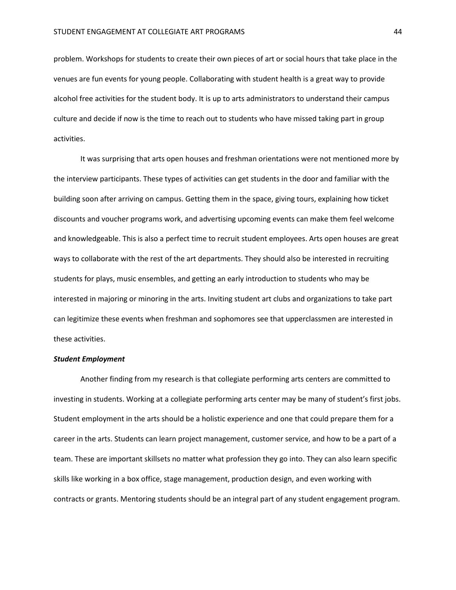problem. Workshops for students to create their own pieces of art or social hours that take place in the venues are fun events for young people. Collaborating with student health is a great way to provide alcohol free activities for the student body. It is up to arts administrators to understand their campus culture and decide if now is the time to reach out to students who have missed taking part in group activities.

It was surprising that arts open houses and freshman orientations were not mentioned more by the interview participants. These types of activities can get students in the door and familiar with the building soon after arriving on campus. Getting them in the space, giving tours, explaining how ticket discounts and voucher programs work, and advertising upcoming events can make them feel welcome and knowledgeable. This is also a perfect time to recruit student employees. Arts open houses are great ways to collaborate with the rest of the art departments. They should also be interested in recruiting students for plays, music ensembles, and getting an early introduction to students who may be interested in majoring or minoring in the arts. Inviting student art clubs and organizations to take part can legitimize these events when freshman and sophomores see that upperclassmen are interested in these activities.

### *Student Employment*

Another finding from my research is that collegiate performing arts centers are committed to investing in students. Working at a collegiate performing arts center may be many of student's first jobs. Student employment in the arts should be a holistic experience and one that could prepare them for a career in the arts. Students can learn project management, customer service, and how to be a part of a team. These are important skillsets no matter what profession they go into. They can also learn specific skills like working in a box office, stage management, production design, and even working with contracts or grants. Mentoring students should be an integral part of any student engagement program.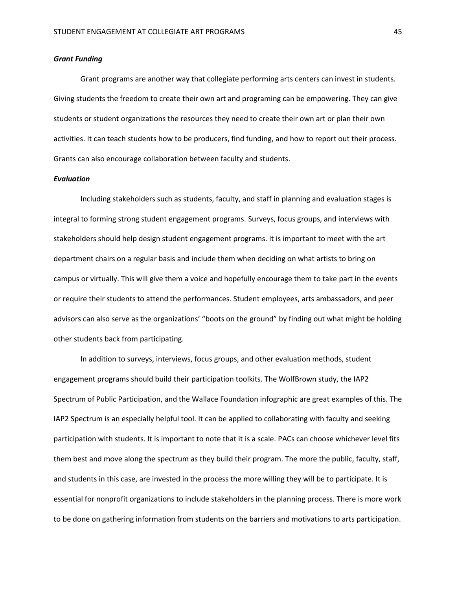### *Grant Funding*

Grant programs are another way that collegiate performing arts centers can invest in students. Giving students the freedom to create their own art and programing can be empowering. They can give students or student organizations the resources they need to create their own art or plan their own activities. It can teach students how to be producers, find funding, and how to report out their process. Grants can also encourage collaboration between faculty and students.

#### *Evaluation*

Including stakeholders such as students, faculty, and staff in planning and evaluation stages is integral to forming strong student engagement programs. Surveys, focus groups, and interviews with stakeholders should help design student engagement programs. It is important to meet with the art department chairs on a regular basis and include them when deciding on what artists to bring on campus or virtually. This will give them a voice and hopefully encourage them to take part in the events or require their students to attend the performances. Student employees, arts ambassadors, and peer advisors can also serve as the organizations' "boots on the ground" by finding out what might be holding other students back from participating.

In addition to surveys, interviews, focus groups, and other evaluation methods, student engagement programs should build their participation toolkits. The WolfBrown study, the IAP2 Spectrum of Public Participation, and the Wallace Foundation infographic are great examples of this. The IAP2 Spectrum is an especially helpful tool. It can be applied to collaborating with faculty and seeking participation with students. It is important to note that it is a scale. PACs can choose whichever level fits them best and move along the spectrum as they build their program. The more the public, faculty, staff, and students in this case, are invested in the process the more willing they will be to participate. It is essential for nonprofit organizations to include stakeholders in the planning process. There is more work to be done on gathering information from students on the barriers and motivations to arts participation.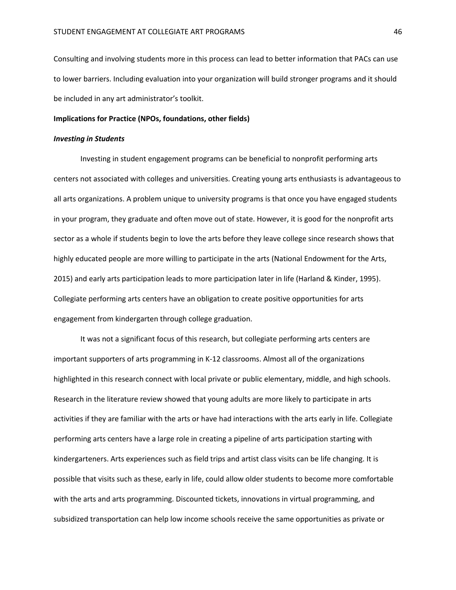Consulting and involving students more in this process can lead to better information that PACs can use to lower barriers. Including evaluation into your organization will build stronger programs and it should be included in any art administrator's toolkit.

### **Implications for Practice (NPOs, foundations, other fields)**

### *Investing in Students*

Investing in student engagement programs can be beneficial to nonprofit performing arts centers not associated with colleges and universities. Creating young arts enthusiasts is advantageous to all arts organizations. A problem unique to university programs is that once you have engaged students in your program, they graduate and often move out of state. However, it is good for the nonprofit arts sector as a whole if students begin to love the arts before they leave college since research shows that highly educated people are more willing to participate in the arts (National Endowment for the Arts, 2015) and early arts participation leads to more participation later in life (Harland & Kinder, 1995). Collegiate performing arts centers have an obligation to create positive opportunities for arts engagement from kindergarten through college graduation.

It was not a significant focus of this research, but collegiate performing arts centers are important supporters of arts programming in K-12 classrooms. Almost all of the organizations highlighted in this research connect with local private or public elementary, middle, and high schools. Research in the literature review showed that young adults are more likely to participate in arts activities if they are familiar with the arts or have had interactions with the arts early in life. Collegiate performing arts centers have a large role in creating a pipeline of arts participation starting with kindergarteners. Arts experiences such as field trips and artist class visits can be life changing. It is possible that visits such as these, early in life, could allow older students to become more comfortable with the arts and arts programming. Discounted tickets, innovations in virtual programming, and subsidized transportation can help low income schools receive the same opportunities as private or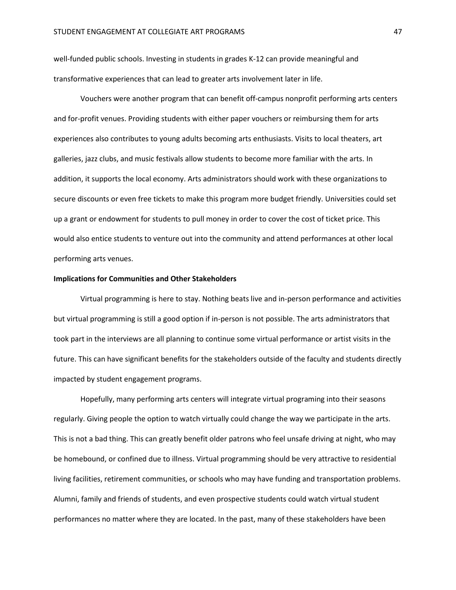well-funded public schools. Investing in students in grades K-12 can provide meaningful and transformative experiences that can lead to greater arts involvement later in life.

Vouchers were another program that can benefit off-campus nonprofit performing arts centers and for-profit venues. Providing students with either paper vouchers or reimbursing them for arts experiences also contributes to young adults becoming arts enthusiasts. Visits to local theaters, art galleries, jazz clubs, and music festivals allow students to become more familiar with the arts. In addition, it supports the local economy. Arts administrators should work with these organizations to secure discounts or even free tickets to make this program more budget friendly. Universities could set up a grant or endowment for students to pull money in order to cover the cost of ticket price. This would also entice students to venture out into the community and attend performances at other local performing arts venues.

### **Implications for Communities and Other Stakeholders**

Virtual programming is here to stay. Nothing beats live and in-person performance and activities but virtual programming is still a good option if in-person is not possible. The arts administrators that took part in the interviews are all planning to continue some virtual performance or artist visits in the future. This can have significant benefits for the stakeholders outside of the faculty and students directly impacted by student engagement programs.

Hopefully, many performing arts centers will integrate virtual programing into their seasons regularly. Giving people the option to watch virtually could change the way we participate in the arts. This is not a bad thing. This can greatly benefit older patrons who feel unsafe driving at night, who may be homebound, or confined due to illness. Virtual programming should be very attractive to residential living facilities, retirement communities, or schools who may have funding and transportation problems. Alumni, family and friends of students, and even prospective students could watch virtual student performances no matter where they are located. In the past, many of these stakeholders have been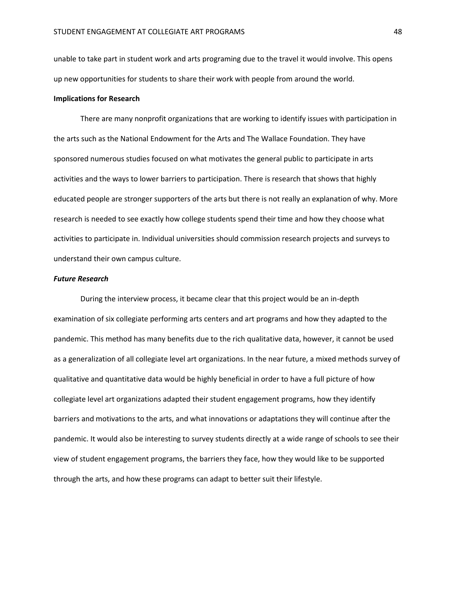unable to take part in student work and arts programing due to the travel it would involve. This opens up new opportunities for students to share their work with people from around the world.

### **Implications for Research**

There are many nonprofit organizations that are working to identify issues with participation in the arts such as the National Endowment for the Arts and The Wallace Foundation. They have sponsored numerous studies focused on what motivates the general public to participate in arts activities and the ways to lower barriers to participation. There is research that shows that highly educated people are stronger supporters of the arts but there is not really an explanation of why. More research is needed to see exactly how college students spend their time and how they choose what activities to participate in. Individual universities should commission research projects and surveys to understand their own campus culture.

### *Future Research*

During the interview process, it became clear that this project would be an in-depth examination of six collegiate performing arts centers and art programs and how they adapted to the pandemic. This method has many benefits due to the rich qualitative data, however, it cannot be used as a generalization of all collegiate level art organizations. In the near future, a mixed methods survey of qualitative and quantitative data would be highly beneficial in order to have a full picture of how collegiate level art organizations adapted their student engagement programs, how they identify barriers and motivations to the arts, and what innovations or adaptations they will continue after the pandemic. It would also be interesting to survey students directly at a wide range of schools to see their view of student engagement programs, the barriers they face, how they would like to be supported through the arts, and how these programs can adapt to better suit their lifestyle.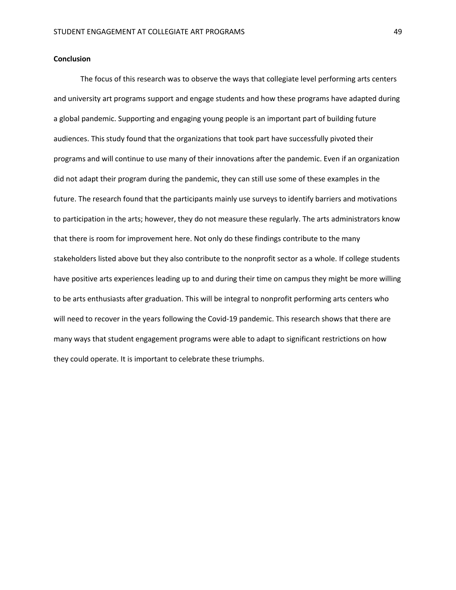### **Conclusion**

The focus of this research was to observe the ways that collegiate level performing arts centers and university art programs support and engage students and how these programs have adapted during a global pandemic. Supporting and engaging young people is an important part of building future audiences. This study found that the organizations that took part have successfully pivoted their programs and will continue to use many of their innovations after the pandemic. Even if an organization did not adapt their program during the pandemic, they can still use some of these examples in the future. The research found that the participants mainly use surveys to identify barriers and motivations to participation in the arts; however, they do not measure these regularly. The arts administrators know that there is room for improvement here. Not only do these findings contribute to the many stakeholders listed above but they also contribute to the nonprofit sector as a whole. If college students have positive arts experiences leading up to and during their time on campus they might be more willing to be arts enthusiasts after graduation. This will be integral to nonprofit performing arts centers who will need to recover in the years following the Covid-19 pandemic. This research shows that there are many ways that student engagement programs were able to adapt to significant restrictions on how they could operate. It is important to celebrate these triumphs.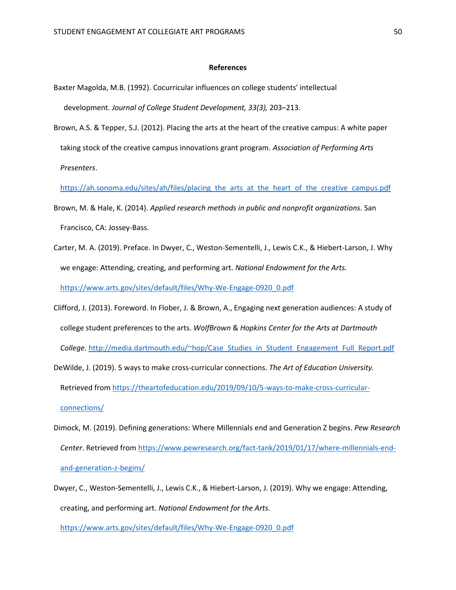### **References**

- Baxter Magolda, M.B. (1992). Cocurricular influences on college students' intellectual development. *Journal of College Student Development, 33(3),* 203–213.
- Brown, A.S. & Tepper, S.J. (2012). Placing the arts at the heart of the creative campus: A white paper taking stock of the creative campus innovations grant program. *Association of Performing Arts Presenters*.

[https://ah.sonoma.edu/sites/ah/files/placing\\_the\\_arts\\_at\\_the\\_heart\\_of\\_the\\_creative\\_campus.pdf](https://ah.sonoma.edu/sites/ah/files/placing_the_arts_at_the_heart_of_the_creative_campus.pdf)

- Brown, M. & Hale, K. (2014). *Applied research methods in public and nonprofit organizations*. San Francisco, CA: Jossey-Bass.
- Carter, M. A. (2019). Preface. In Dwyer, C., Weston-Sementelli, J., Lewis C.K., & Hiebert-Larson, J. Why we engage: Attending, creating, and performing art. *National Endowment for the Arts.* [https://www.arts.gov/sites/default/files/Why-We-Engage-0920\\_0.pdf](https://www.arts.gov/sites/default/files/Why-We-Engage-0920_0.pdf)
- Clifford, J. (2013). Foreword. In Flober, J. & Brown, A., Engaging next generation audiences: A study of college student preferences to the arts. *WolfBrown* & *Hopkins Center for the Arts at Dartmouth College.* [http://media.dartmouth.edu/~hop/Case\\_Studies\\_in\\_Student\\_Engagement\\_Full\\_Report.pdf](http://media.dartmouth.edu/~hop/Case_Studies_in_Student_Engagement_Full_Report.pdf)

DeWilde, J. (2019). 5 ways to make cross-curricular connections. *The Art of Education University.* Retrieved from [https://theartofeducation.edu/2019/09/10/5-ways-to-make-cross-curricular](https://theartofeducation.edu/2019/09/10/5-ways-to-make-cross-curricular-connections/)[connections/](https://theartofeducation.edu/2019/09/10/5-ways-to-make-cross-curricular-connections/)

- Dimock, M. (2019). Defining generations: Where Millennials end and Generation Z begins. *Pew Research Center*. Retrieved fro[m https://www.pewresearch.org/fact-tank/2019/01/17/where-millennials-end](https://www.pewresearch.org/fact-tank/2019/01/17/where-millennials-end-and-generation-z-begins/)[and-generation-z-begins/](https://www.pewresearch.org/fact-tank/2019/01/17/where-millennials-end-and-generation-z-begins/)
- Dwyer, C., Weston-Sementelli, J., Lewis C.K., & Hiebert-Larson, J. (2019). Why we engage: Attending, creating, and performing art. *National Endowment for the Arts.*

[https://www.arts.gov/sites/default/files/Why-We-Engage-0920\\_0.pdf](https://www.arts.gov/sites/default/files/Why-We-Engage-0920_0.pdf)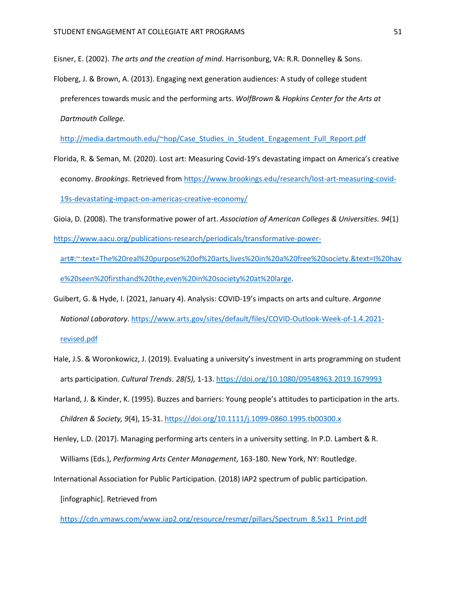Eisner, E. (2002). *The arts and the creation of mind*. Harrisonburg, VA: R.R. Donnelley & Sons.

Floberg, J. & Brown, A. (2013). Engaging next generation audiences: A study of college student preferences towards music and the performing arts. *WolfBrown* & *Hopkins Center for the Arts at Dartmouth College.* 

[http://media.dartmouth.edu/~hop/Case\\_Studies\\_in\\_Student\\_Engagement\\_Full\\_Report.pdf](http://media.dartmouth.edu/~hop/Case_Studies_in_Student_Engagement_Full_Report.pdf)

- Florida, R. & Seman, M. (2020). Lost art: Measuring Covid-19's devastating impact on America's creative economy. *Brookings*. Retrieved from [https://www.brookings.edu/research/lost-art-measuring-covid-](https://www.brookings.edu/research/lost-art-measuring-covid-19s-devastating-impact-on-americas-creative-economy/)[19s-devastating-impact-on-americas-creative-economy/](https://www.brookings.edu/research/lost-art-measuring-covid-19s-devastating-impact-on-americas-creative-economy/)
- Gioia, D. (2008). The transformative power of art. *Association of American Colleges & Universities. 94*(1) [https://www.aacu.org/publications-research/periodicals/transformative-power](https://www.aacu.org/publications-research/periodicals/transformative-power-art#:~:text=The%20real%20purpose%20of%20arts,lives%20in%20a%20free%20society.&text=I%20have%20seen%20firsthand%20the,even%20in%20society%20at%20large)
	- [art#:~:text=The%20real%20purpose%20of%20arts,lives%20in%20a%20free%20society.&text=I%20hav](https://www.aacu.org/publications-research/periodicals/transformative-power-art#:~:text=The%20real%20purpose%20of%20arts,lives%20in%20a%20free%20society.&text=I%20have%20seen%20firsthand%20the,even%20in%20society%20at%20large) [e%20seen%20firsthand%20the,even%20in%20society%20at%20large.](https://www.aacu.org/publications-research/periodicals/transformative-power-art#:~:text=The%20real%20purpose%20of%20arts,lives%20in%20a%20free%20society.&text=I%20have%20seen%20firsthand%20the,even%20in%20society%20at%20large)
- Guibert, G. & Hyde, I. (2021, January 4). Analysis: COVID-19's impacts on arts and culture. *Argonne National Laboratory*. [https://www.arts.gov/sites/default/files/COVID-Outlook-Week-of-1.4.2021](https://www.arts.gov/sites/default/files/COVID-Outlook-Week-of-1.4.2021-revised.pdf) [revised.pdf](https://www.arts.gov/sites/default/files/COVID-Outlook-Week-of-1.4.2021-revised.pdf)
- Hale, J.S. & Woronkowicz, J. (2019). Evaluating a university's investment in arts programming on student arts participation. *Cultural Trends*. *28(5),* 1-13. <https://doi.org/10.1080/09548963.2019.1679993>
- Harland, J. & Kinder, K. (1995). Buzzes and barriers: Young people's attitudes to participation in the arts. *Children & Society, 9*(4), 15-31.<https://doi.org/10.1111/j.1099-0860.1995.tb00300.x>
- Henley, L.D. (2017). Managing performing arts centers in a university setting. In P.D. Lambert & R. Williams (Eds.), *Performing Arts Center Management*, 163-180. New York, NY: Routledge.
- International Association for Public Participation*.* (2018) IAP2 spectrum of public participation.

[infographic]. Retrieved from

[https://cdn.ymaws.com/www.iap2.org/resource/resmgr/pillars/Spectrum\\_8.5x11\\_Print.pdf](https://cdn.ymaws.com/www.iap2.org/resource/resmgr/pillars/Spectrum_8.5x11_Print.pdf)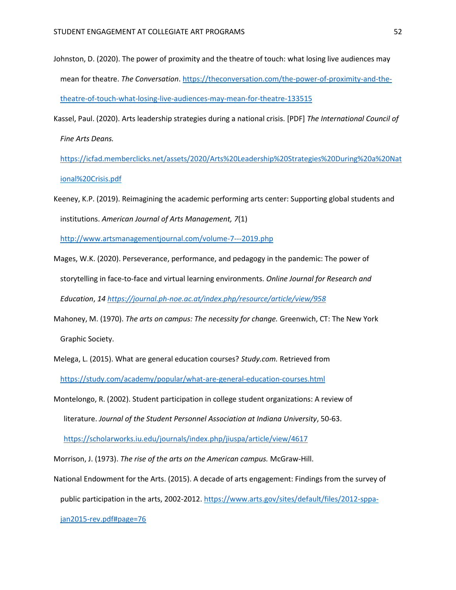- Johnston, D. (2020). The power of proximity and the theatre of touch: what losing live audiences may mean for theatre. *The Conversation*. [https://theconversation.com/the-power-of-proximity-and-the](https://theconversation.com/the-power-of-proximity-and-the-theatre-of-touch-what-losing-live-audiences-may-mean-for-theatre-133515)[theatre-of-touch-what-losing-live-audiences-may-mean-for-theatre-133515](https://theconversation.com/the-power-of-proximity-and-the-theatre-of-touch-what-losing-live-audiences-may-mean-for-theatre-133515)
- Kassel, Paul. (2020). Arts leadership strategies during a national crisis. [PDF] *The International Council of Fine Arts Deans.*

[https://icfad.memberclicks.net/assets/2020/Arts%20Leadership%20Strategies%20During%20a%20Nat](https://icfad.memberclicks.net/assets/2020/Arts%20Leadership%20Strategies%20During%20a%20National%20Crisis.pdf) [ional%20Crisis.pdf](https://icfad.memberclicks.net/assets/2020/Arts%20Leadership%20Strategies%20During%20a%20National%20Crisis.pdf)

Keeney, K.P. (2019). Reimagining the academic performing arts center: Supporting global students and institutions. *American Journal of Arts Management, 7*(1)

<http://www.artsmanagementjournal.com/volume-7---2019.php>

- Mages, W.K. (2020). Perseverance, performance, and pedagogy in the pandemic: The power of storytelling in face-to-face and virtual learning environments. *Online Journal for Research and Education*, *14 <https://journal.ph-noe.ac.at/index.php/resource/article/view/958>*
- Mahoney, M. (1970). *The arts on campus: The necessity for change.* Greenwich, CT: The New York Graphic Society.
- Melega, L. (2015). What are general education courses? *Study.com.* Retrieved from <https://study.com/academy/popular/what-are-general-education-courses.html>
- Montelongo, R. (2002). Student participation in college student organizations: A review of literature. *Journal of the Student Personnel Association at Indiana University*, 50-63.

<https://scholarworks.iu.edu/journals/index.php/jiuspa/article/view/4617>

Morrison, J. (1973). *The rise of the arts on the American campus.* McGraw-Hill.

National Endowment for the Arts. (2015). A decade of arts engagement: Findings from the survey of

public participation in the arts, 2002-2012. [https://www.arts.gov/sites/default/files/2012-sppa-](https://www.arts.gov/sites/default/files/2012-sppa-jan2015-rev.pdf#page=76)

[jan2015-rev.pdf#page=76](https://www.arts.gov/sites/default/files/2012-sppa-jan2015-rev.pdf#page=76)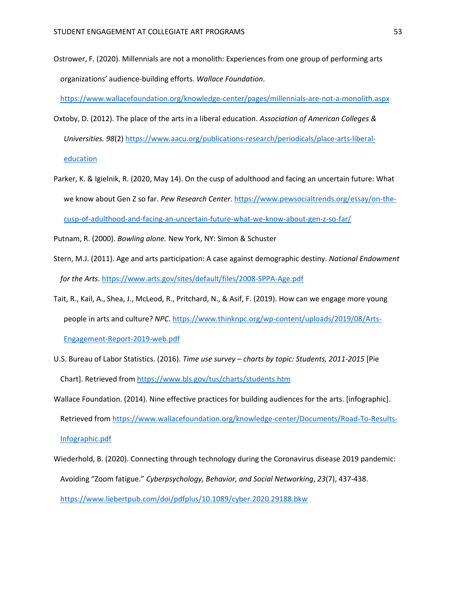Ostrower, F. (2020). Millennials are not a monolith: Experiences from one group of performing arts organizations' audience-building efforts. *Wallace Foundation*.

<https://www.wallacefoundation.org/knowledge-center/pages/millennials-are-not-a-monolith.aspx>

- Oxtoby, D. (2012). The place of the arts in a liberal education. *Association of American Colleges & Universities. 98*(2) [https://www.aacu.org/publications-research/periodicals/place-arts-liberal](https://www.aacu.org/publications-research/periodicals/place-arts-liberal-education)[education](https://www.aacu.org/publications-research/periodicals/place-arts-liberal-education)
- Parker, K. & Igielnik, R. (2020, May 14). On the cusp of adulthood and facing an uncertain future: What we know about Gen Z so far. *Pew Research Center*[. https://www.pewsocialtrends.org/essay/on-the](https://www.pewsocialtrends.org/essay/on-the-cusp-of-adulthood-and-facing-an-uncertain-future-what-we-know-about-gen-z-so-far/)[cusp-of-adulthood-and-facing-an-uncertain-future-what-we-know-about-gen-z-so-far/](https://www.pewsocialtrends.org/essay/on-the-cusp-of-adulthood-and-facing-an-uncertain-future-what-we-know-about-gen-z-so-far/)
- Putnam, R. (2000). *Bowling alone.* New York, NY: Simon & Schuster
- Stern, M.J. (2011). Age and arts participation: A case against demographic destiny. *National Endowment for the Arts*. <https://www.arts.gov/sites/default/files/2008-SPPA-Age.pdf>
- Tait, R., Kail, A., Shea, J., McLeod, R., Pritchard, N., & Asif, F. (2019). How can we engage more young people in arts and culture? *NPC*[. https://www.thinknpc.org/wp-content/uploads/2019/08/Arts-](https://www.thinknpc.org/wp-content/uploads/2019/08/Arts-Engagement-Report-2019-web.pdf)[Engagement-Report-2019-web.pdf](https://www.thinknpc.org/wp-content/uploads/2019/08/Arts-Engagement-Report-2019-web.pdf)
- U.S. Bureau of Labor Statistics. (2016). *Time use survey – charts by topic: Students, 2011-2015* [Pie Chart]. Retrieved from<https://www.bls.gov/tus/charts/students.htm>
- Wallace Foundation. (2014). Nine effective practices for building audiences for the arts. [infographic]. Retrieved from [https://www.wallacefoundation.org/knowledge-center/Documents/Road-To-Results-](https://www.wallacefoundation.org/knowledge-center/Documents/Road-To-Results-Infographic.pdf)[Infographic.pdf](https://www.wallacefoundation.org/knowledge-center/Documents/Road-To-Results-Infographic.pdf)
- Wiederhold, B. (2020). Connecting through technology during the Coronavirus disease 2019 pandemic: Avoiding "Zoom fatigue." *Cyberpsychology, Behavior, and Social Networking*, *23*(7), 437-438. <https://www.liebertpub.com/doi/pdfplus/10.1089/cyber.2020.29188.bkw>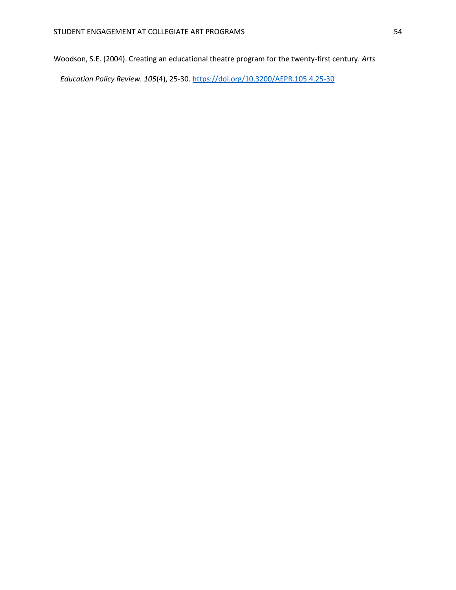Woodson, S.E. (2004). Creating an educational theatre program for the twenty-first century. *Arts* 

*Education Policy Review. 105*(4), 25-30. <https://doi.org/10.3200/AEPR.105.4.25-30>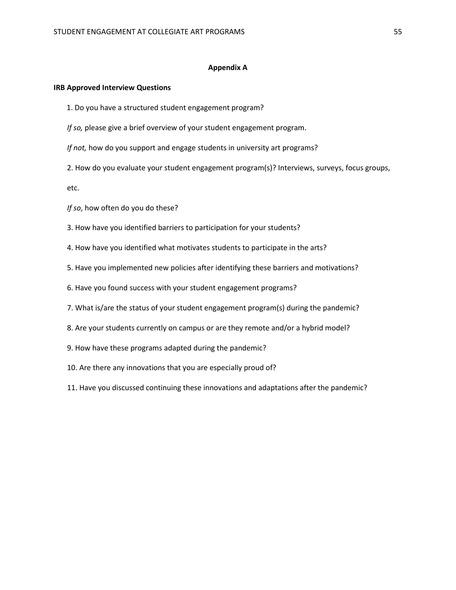### **Appendix A**

### **IRB Approved Interview Questions**

- 1. Do you have a structured student engagement program?
- *If so,* please give a brief overview of your student engagement program.
- *If not,* how do you support and engage students in university art programs?
- 2. How do you evaluate your student engagement program(s)? Interviews, surveys, focus groups,

etc.

- *If so*, how often do you do these?
- 3. How have you identified barriers to participation for your students?
- 4. How have you identified what motivates students to participate in the arts?
- 5. Have you implemented new policies after identifying these barriers and motivations?
- 6. Have you found success with your student engagement programs?
- 7. What is/are the status of your student engagement program(s) during the pandemic?
- 8. Are your students currently on campus or are they remote and/or a hybrid model?
- 9. How have these programs adapted during the pandemic?
- 10. Are there any innovations that you are especially proud of?
- 11. Have you discussed continuing these innovations and adaptations after the pandemic?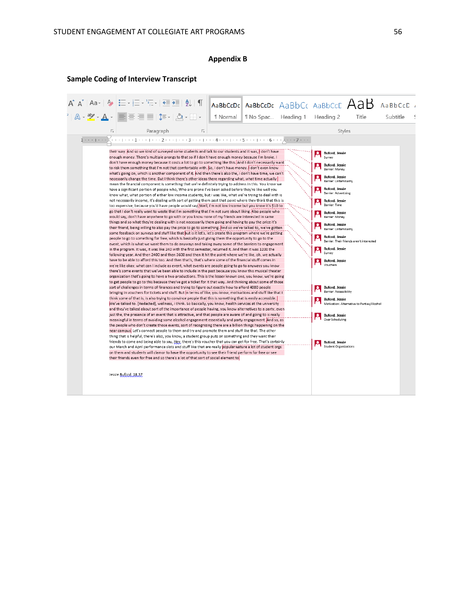# **Appendix B**

# **Sample Coding of Interview Transcript**

|                         | $A A^{\dagger} A^{\dagger}$   Aa $\cdot$   $A \rightarrow \frac{1}{2}$ = $\cdot \frac{1}{2}$ = $\cdot \frac{1}{2}$ $\cdot \cdot$   $\cdot \frac{1}{2}$   $\cdot \frac{1}{2}$   $\cdot \frac{1}{2}$   $\cdot \frac{1}{2}$   $\cdot \frac{1}{2}$                                                                                                                                                                                                                                                                                                                                                                                                                                                                                                                                                                                                                                                                                                                                                                                                                                                                                                                                                                                                                                                                                                                                                                                                                                                                                                                                                                                                                                                                                                                                                                                                                                                                                                                                                                                                                                                                                                                                                                                                                                                                                                                                                                                                                                                                                                                                                                                                                                                                                                                                                                                                                                                                                                                                                                                                                                                                                                                                                                                                                                                                                                                                                                                                                                                                                                                                                                                                                                                                                                                                                                                                                                                                                                                                                                                                                                                                                                                                                                                                                                                                                |                                |                                                                                                                                                                                                                                                                                                                                                                                                                                                                                                                                                                                         |                                                                                        | AaBbCcDc AaBbCcDc AaBbCc AaBbCcC $A$ aBb AaBbCcC / |
|-------------------------|-------------------------------------------------------------------------------------------------------------------------------------------------------------------------------------------------------------------------------------------------------------------------------------------------------------------------------------------------------------------------------------------------------------------------------------------------------------------------------------------------------------------------------------------------------------------------------------------------------------------------------------------------------------------------------------------------------------------------------------------------------------------------------------------------------------------------------------------------------------------------------------------------------------------------------------------------------------------------------------------------------------------------------------------------------------------------------------------------------------------------------------------------------------------------------------------------------------------------------------------------------------------------------------------------------------------------------------------------------------------------------------------------------------------------------------------------------------------------------------------------------------------------------------------------------------------------------------------------------------------------------------------------------------------------------------------------------------------------------------------------------------------------------------------------------------------------------------------------------------------------------------------------------------------------------------------------------------------------------------------------------------------------------------------------------------------------------------------------------------------------------------------------------------------------------------------------------------------------------------------------------------------------------------------------------------------------------------------------------------------------------------------------------------------------------------------------------------------------------------------------------------------------------------------------------------------------------------------------------------------------------------------------------------------------------------------------------------------------------------------------------------------------------------------------------------------------------------------------------------------------------------------------------------------------------------------------------------------------------------------------------------------------------------------------------------------------------------------------------------------------------------------------------------------------------------------------------------------------------------------------------------------------------------------------------------------------------------------------------------------------------------------------------------------------------------------------------------------------------------------------------------------------------------------------------------------------------------------------------------------------------------------------------------------------------------------------------------------------------------------------------------------------------------------------------------------------------------------------------------------------------------------------------------------------------------------------------------------------------------------------------------------------------------------------------------------------------------------------------------------------------------------------------------------------------------------------------------------------------------------------------------------------------------------------------------------------------|--------------------------------|-----------------------------------------------------------------------------------------------------------------------------------------------------------------------------------------------------------------------------------------------------------------------------------------------------------------------------------------------------------------------------------------------------------------------------------------------------------------------------------------------------------------------------------------------------------------------------------------|----------------------------------------------------------------------------------------|----------------------------------------------------|
|                         | $2   \mathbb{A} \cdot \mathbb{Y} \cdot \mathbb{A} \cdot   \Xi   \equiv \equiv \equiv   \mathbb{I} \cdot   \mathbb{A} \cdot \boxplus \cdot  $                                                                                                                                                                                                                                                                                                                                                                                                                                                                                                                                                                                                                                                                                                                                                                                                                                                                                                                                                                                                                                                                                                                                                                                                                                                                                                                                                                                                                                                                                                                                                                                                                                                                                                                                                                                                                                                                                                                                                                                                                                                                                                                                                                                                                                                                                                                                                                                                                                                                                                                                                                                                                                                                                                                                                                                                                                                                                                                                                                                                                                                                                                                                                                                                                                                                                                                                                                                                                                                                                                                                                                                                                                                                                                                                                                                                                                                                                                                                                                                                                                                                                                                                                                                  | I Normal   I No Spac Heading 1 | Heading 2                                                                                                                                                                                                                                                                                                                                                                                                                                                                                                                                                                               | Title                                                                                  | Subtitle                                           |
|                         |                                                                                                                                                                                                                                                                                                                                                                                                                                                                                                                                                                                                                                                                                                                                                                                                                                                                                                                                                                                                                                                                                                                                                                                                                                                                                                                                                                                                                                                                                                                                                                                                                                                                                                                                                                                                                                                                                                                                                                                                                                                                                                                                                                                                                                                                                                                                                                                                                                                                                                                                                                                                                                                                                                                                                                                                                                                                                                                                                                                                                                                                                                                                                                                                                                                                                                                                                                                                                                                                                                                                                                                                                                                                                                                                                                                                                                                                                                                                                                                                                                                                                                                                                                                                                                                                                                                               |                                |                                                                                                                                                                                                                                                                                                                                                                                                                                                                                                                                                                                         |                                                                                        |                                                    |
| $\overline{\mathbf{S}}$ | $\overline{\mathbb{F}_2}$<br>Paragraph                                                                                                                                                                                                                                                                                                                                                                                                                                                                                                                                                                                                                                                                                                                                                                                                                                                                                                                                                                                                                                                                                                                                                                                                                                                                                                                                                                                                                                                                                                                                                                                                                                                                                                                                                                                                                                                                                                                                                                                                                                                                                                                                                                                                                                                                                                                                                                                                                                                                                                                                                                                                                                                                                                                                                                                                                                                                                                                                                                                                                                                                                                                                                                                                                                                                                                                                                                                                                                                                                                                                                                                                                                                                                                                                                                                                                                                                                                                                                                                                                                                                                                                                                                                                                                                                                        |                                | Styles                                                                                                                                                                                                                                                                                                                                                                                                                                                                                                                                                                                  |                                                                                        |                                                    |
|                         |                                                                                                                                                                                                                                                                                                                                                                                                                                                                                                                                                                                                                                                                                                                                                                                                                                                                                                                                                                                                                                                                                                                                                                                                                                                                                                                                                                                                                                                                                                                                                                                                                                                                                                                                                                                                                                                                                                                                                                                                                                                                                                                                                                                                                                                                                                                                                                                                                                                                                                                                                                                                                                                                                                                                                                                                                                                                                                                                                                                                                                                                                                                                                                                                                                                                                                                                                                                                                                                                                                                                                                                                                                                                                                                                                                                                                                                                                                                                                                                                                                                                                                                                                                                                                                                                                                                               |                                |                                                                                                                                                                                                                                                                                                                                                                                                                                                                                                                                                                                         |                                                                                        |                                                    |
|                         | their way. And so we kind of surveyed some students and talk to our students and it was, I don't have<br>enough money. There's multiple prongs to that so if I don't have enough money because I'm broke. I<br>don't have enough money because it costs a lot to go to something like this. And I don't necessarily want<br>to risk them something that I'm not that comfortable with. So, I don't have money. I don't even know<br>what's going on, which is another component of it. And then there's also the, I don't have time, we can't<br>necessarily change the time. But I think there's other ideas there regarding what, what time actually<br>mean the financial component is something that we're definitely trying to address in this. You know we<br>have a significant portion of people who, Who are prone I've been asked before they're like well you<br>know what, what portion of either low income students, but I was like, what we're trying to deal with is<br>not necessarily income, it's dealing with sort of getting them past that point where they think that this is<br>too expensive, because you'd have people would say, Well, I'm not low income but you know it's \$10 to<br>go that I don't really want to waste that I'm something that I'm not sure about liking. Also people who<br>would say, don't have anywhere to go with or you know none of my friends are interested in same<br>things and so what they're dealing with is not necessarily them going and having to pay the price it's<br>their friend, being willing to also pay the price to go to something. And so we've talked to, we've gotten<br>some feedback on surveys and stuff like that but is it let's, let's create this program where we're getting<br>people to go to something for free, which is basically just giving them the opportunity to go to the<br>event, which is what we want them to do anyways and taking away some of the barriers to engagement<br>in the program. It was, it was like 240 with the first semester, returned it. And then it was 1200 the<br>following year. And then 2400 and then 3600 and then it hit the point where we're like, oh, we actually<br>have to be able to afford this too. And then that's, that's where some of the financial stuff comes in<br>we're like okay, what can I include as event, what events are people going to go to anyways you know<br>there's some events that we've been able to include in the past because you know this musical theater<br>organization that's going to have a two productions. This is the lesser known one, you know, we're going<br>to get people to go to this because they've got a ticket for it that way. And thinking about some of those<br>sort of challenges in terms of finances and trying to figure out exactly how to afford 4000 people<br>bringing in vouchers for tickets and stuff. But in terms of like, you know, motivations and stuff like that I<br>think some of that is, is also trying to convince people that this is something that is easily accessible.<br>We've talked to. [Redacted], wellness, I think. So basically, you know, health services at the university<br>and they've talked about sort of the importance of people having, you know alternatives to a party, even<br>just the, the presence of an event that is attractive, and that people are aware of and going to is really<br>meaningful in terms of avoiding some alcohol engagement essentially and party engagement. And so, as<br>the people who don't create those events, sort of recognizing there are a billion things happening on the<br>near campus. Let's connect people to them and try and promote them and stuff like that. The other<br>thing that is helpful, there's also, you know, a student group puts on something and they want their<br>friends to come and being able to say, Hey, there's this voucher that you can get for free. That's certainly<br>our March and April performance slots and stuff like that are really popular feature a lot of student orgs<br>on them and students will clamor to have the opportunity to see their friend perform for free or see<br>their friends even for free and so there's a lot of that sort of social element to<br>Jessie Buford, 18:37 |                                | Buford, Jessie<br>Survey<br>Buford, Jessie<br>Barrier: Money<br><b>Buford, Jessie</b><br>Barrier: Unfamiliarity<br>Buford, Jessie<br><b>Barrier: Advertising</b><br>Buford, Jessie<br>Barrier: Time<br><b>Buford, Jessie</b><br>Barrier: Money<br>Buford, Jessie<br>Barrier: Unfamiliarity<br>Buford, Jessie<br><b>Buford, Jessie</b><br>≗<br>Survey<br>Buford, Jessie<br>Vouchers<br><b>Buford, Jessie</b><br>$\boldsymbol{\circ}$<br>Barrier: Accessibility<br>Buford, Jessie<br>Ω<br>ρ<br><b>Buford, Jessie</b><br>Over Scheduling<br>Buford, Jessie<br><b>Student Organizations</b> | Barrier: Their friends aren't interested<br>Motivation: Alternative to Parties/Alcohol |                                                    |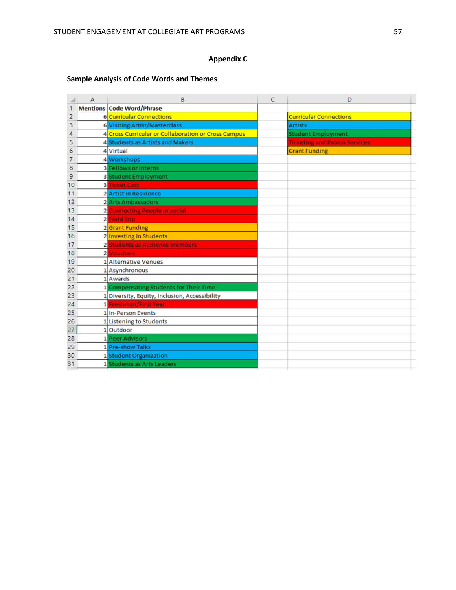# **Appendix C**

# **Sample Analysis of Code Words and Themes**

|    | A | B                                                   |  | D                                    |
|----|---|-----------------------------------------------------|--|--------------------------------------|
|    |   | <b>Mentions Code Word/Phrase</b>                    |  |                                      |
| 2  |   | 6 Curricular Connections                            |  | <b>Curricular Connections</b>        |
| з  |   | 6 Visiting Artist/Masterclass                       |  | <b>Artists</b>                       |
| 4  |   | 4 Cross Curricular or Collaboration or Cross Campus |  | <b>Student Employment</b>            |
| 5  |   | 4 Students as Artists and Makers                    |  | <b>Ticketing and Patron Services</b> |
| 6  |   | 4 Virtual                                           |  | <b>Grant Funding</b>                 |
| 7  |   | 4 Workshops                                         |  |                                      |
| 8  |   | <b>3</b> Fellows or Interns                         |  |                                      |
| 9  |   | 3 Student Employment                                |  |                                      |
| 10 |   | <b>3 Ticket Cost</b>                                |  |                                      |
| 11 |   | 2 Artist in Residence                               |  |                                      |
| 12 |   | 2 Arts Ambassadors                                  |  |                                      |
| 13 |   | 2 Connecting People or social                       |  |                                      |
| 14 |   | 2 Field Trip                                        |  |                                      |
| 15 |   | 2 Grant Funding                                     |  |                                      |
| 16 |   | 2 Investing in Students                             |  |                                      |
| 17 |   | 2 Students as Audience Members                      |  |                                      |
| 18 |   | 2 Vouchers                                          |  |                                      |
| 19 |   | 1 Alternative Venues                                |  |                                      |
| 20 |   | 1 Asynchronous                                      |  |                                      |
| 21 |   | 1 Awards                                            |  |                                      |
| 22 |   | 1 Compensating Students for Their Time              |  |                                      |
| 23 |   | 1 Diversity, Equity, Inclusion, Accessibility       |  |                                      |
| 24 |   | 1 Freshman/First Year                               |  |                                      |
| 25 |   | 1 In-Person Events                                  |  |                                      |
| 26 |   | 1 Listening to Students                             |  |                                      |
| 27 |   | 1 Outdoor                                           |  |                                      |
| 28 |   | 1 Peer Advisors                                     |  |                                      |
| 29 |   | 1 Pre-show Talks                                    |  |                                      |
| 30 |   | 1 Student Organization                              |  |                                      |
| 31 |   | 1 Students as Arts Leaders                          |  |                                      |